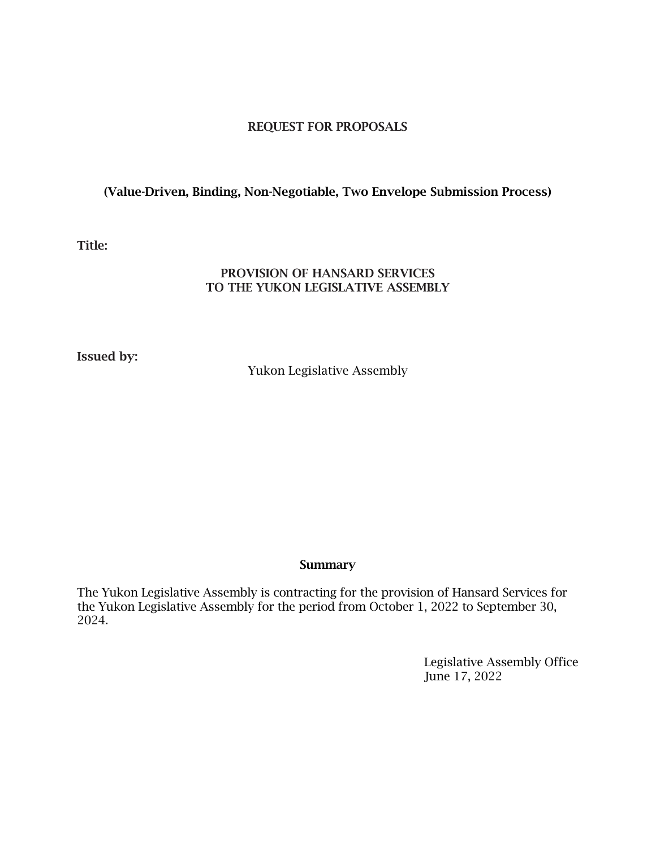#### REQUEST FOR PROPOSALS

#### (Value-Driven, Binding, Non-Negotiable, Two Envelope Submission Process)

#### Title:

#### PROVISION OF HANSARD SERVICES TO THE YUKON LEGISLATIVE ASSEMBLY

Issued by:

Yukon Legislative Assembly

#### **Summary**

The Yukon Legislative Assembly is contracting for the provision of Hansard Services for the Yukon Legislative Assembly for the period from October 1, 2022 to September 30, 2024.

> Legislative Assembly Office June 17, 2022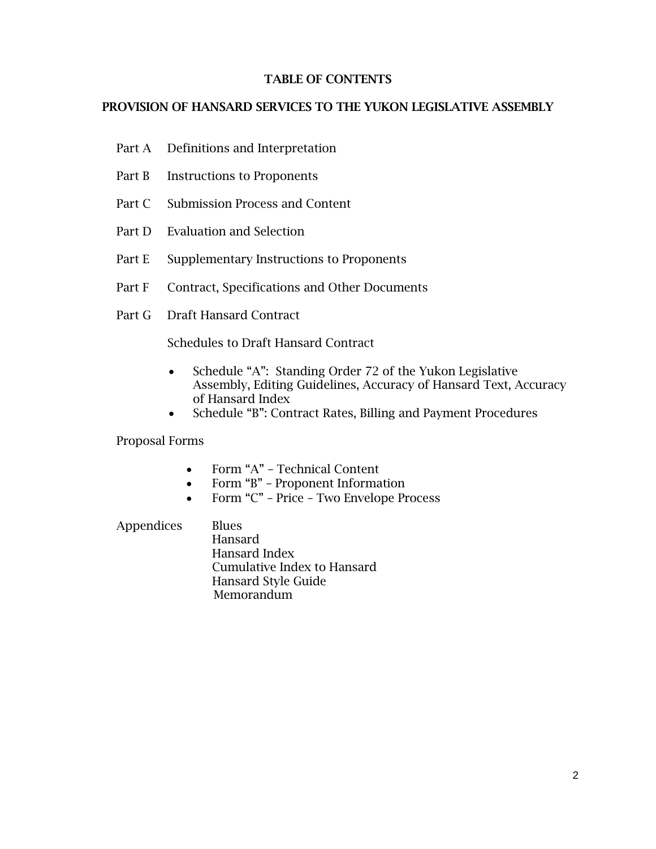#### TABLE OF CONTENTS

#### PROVISION OF HANSARD SERVICES TO THE YUKON LEGISLATIVE ASSEMBLY

- Part A Definitions and Interpretation
- Part B Instructions to Proponents
- Part C Submission Process and Content
- Part D Evaluation and Selection
- Part E Supplementary Instructions to Proponents
- Part F Contract, Specifications and Other Documents
- Part G Draft Hansard Contract

Schedules to Draft Hansard Contract

- Schedule "A": Standing Order 72 of the Yukon Legislative Assembly, Editing Guidelines, Accuracy of Hansard Text, Accuracy of Hansard Index
- Schedule "B": Contract Rates, Billing and Payment Procedures

Proposal Forms

- Form "A" Technical Content
- Form "B" Proponent Information
- Form "C" Price Two Envelope Process

Appendices Blues Hansard Hansard Index Cumulative Index to Hansard Hansard Style Guide Memorandum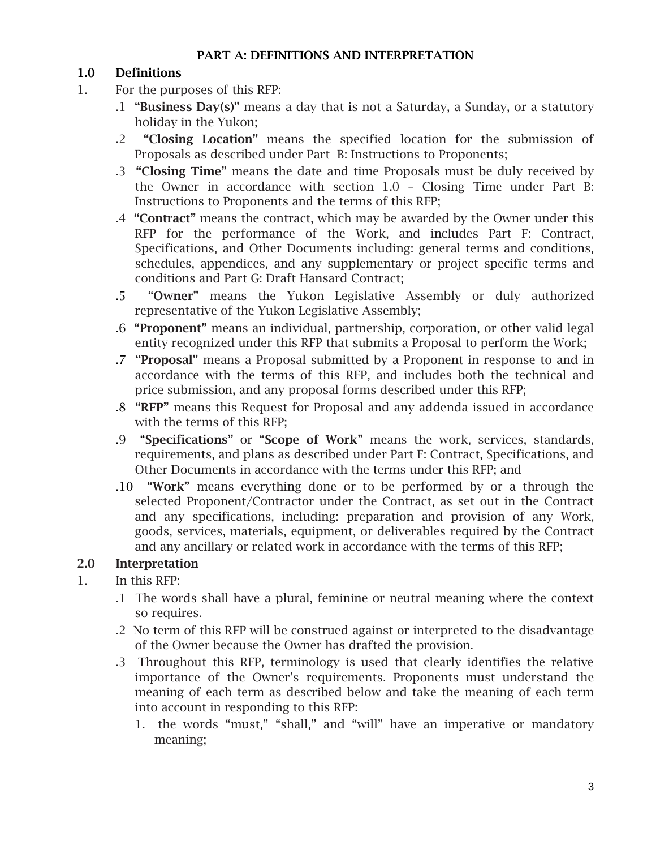### PART A: DEFINITIONS AND INTERPRETATION

# 1.0 Definitions

- 1. For the purposes of this RFP:
	- .1 "Business Day(s)" means a day that is not a Saturday, a Sunday, or a statutory holiday in the Yukon;
	- .2 "Closing Location" means the specified location for the submission of Proposals as described under Part B: Instructions to Proponents;
	- .3 "Closing Time" means the date and time Proposals must be duly received by the Owner in accordance with section 1.0 – Closing Time under Part B: Instructions to Proponents and the terms of this RFP;
	- .4 "Contract" means the contract, which may be awarded by the Owner under this RFP for the performance of the Work, and includes Part F: Contract, Specifications, and Other Documents including: general terms and conditions, schedules, appendices, and any supplementary or project specific terms and conditions and Part G: Draft Hansard Contract;
	- .5 "Owner" means the Yukon Legislative Assembly or duly authorized representative of the Yukon Legislative Assembly;
	- .6 "Proponent" means an individual, partnership, corporation, or other valid legal entity recognized under this RFP that submits a Proposal to perform the Work;
	- .7 "Proposal" means a Proposal submitted by a Proponent in response to and in accordance with the terms of this RFP, and includes both the technical and price submission, and any proposal forms described under this RFP;
	- .8 "RFP" means this Request for Proposal and any addenda issued in accordance with the terms of this RFP;
	- .9 "Specifications" or "Scope of Work" means the work, services, standards, requirements, and plans as described under Part F: Contract, Specifications, and Other Documents in accordance with the terms under this RFP; and
	- .10 "Work" means everything done or to be performed by or a through the selected Proponent/Contractor under the Contract, as set out in the Contract and any specifications, including: preparation and provision of any Work, goods, services, materials, equipment, or deliverables required by the Contract and any ancillary or related work in accordance with the terms of this RFP;

# 2.0 Interpretation

- 1. In this RFP:
	- .1 The words shall have a plural, feminine or neutral meaning where the context so requires.
	- .2 No term of this RFP will be construed against or interpreted to the disadvantage of the Owner because the Owner has drafted the provision.
	- .3 Throughout this RFP, terminology is used that clearly identifies the relative importance of the Owner's requirements. Proponents must understand the meaning of each term as described below and take the meaning of each term into account in responding to this RFP:
		- 1. the words "must," "shall," and "will" have an imperative or mandatory meaning;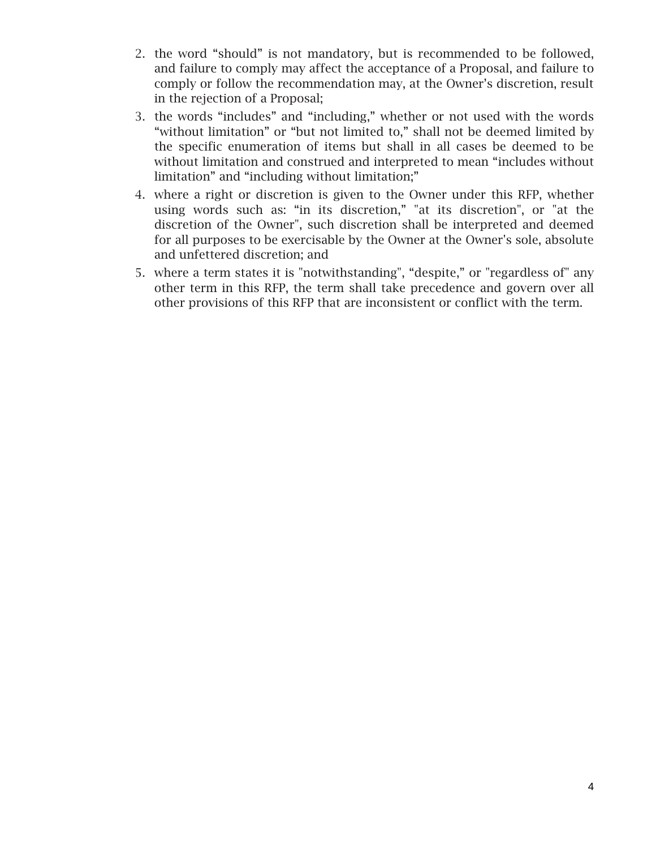- 2. the word "should" is not mandatory, but is recommended to be followed, and failure to comply may affect the acceptance of a Proposal, and failure to comply or follow the recommendation may, at the Owner's discretion, result in the rejection of a Proposal;
- 3. the words "includes" and "including," whether or not used with the words "without limitation" or "but not limited to," shall not be deemed limited by the specific enumeration of items but shall in all cases be deemed to be without limitation and construed and interpreted to mean "includes without limitation" and "including without limitation;"
- 4. where a right or discretion is given to the Owner under this RFP, whether using words such as: "in its discretion," "at its discretion", or "at the discretion of the Owner", such discretion shall be interpreted and deemed for all purposes to be exercisable by the Owner at the Owner's sole, absolute and unfettered discretion; and
- 5. where a term states it is "notwithstanding", "despite," or "regardless of" any other term in this RFP, the term shall take precedence and govern over all other provisions of this RFP that are inconsistent or conflict with the term.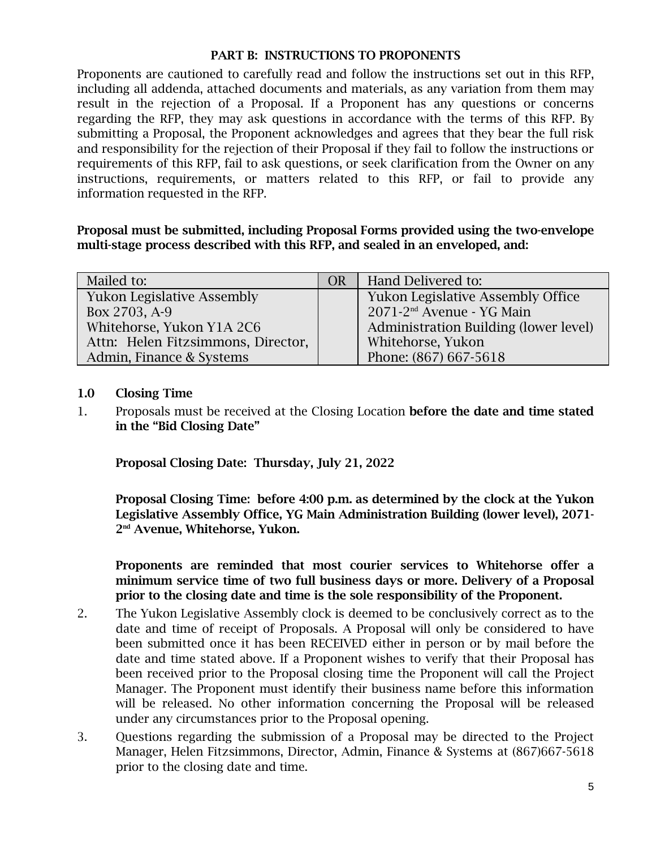#### PART B: INSTRUCTIONS TO PROPONENTS

Proponents are cautioned to carefully read and follow the instructions set out in this RFP, including all addenda, attached documents and materials, as any variation from them may result in the rejection of a Proposal. If a Proponent has any questions or concerns regarding the RFP, they may ask questions in accordance with the terms of this RFP. By submitting a Proposal, the Proponent acknowledges and agrees that they bear the full risk and responsibility for the rejection of their Proposal if they fail to follow the instructions or requirements of this RFP, fail to ask questions, or seek clarification from the Owner on any instructions, requirements, or matters related to this RFP, or fail to provide any information requested in the RFP.

Proposal must be submitted, including Proposal Forms provided using the two-envelope multi-stage process described with this RFP, and sealed in an enveloped, and:

| Mailed to:                         | OR | Hand Delivered to:                       |
|------------------------------------|----|------------------------------------------|
| <b>Yukon Legislative Assembly</b>  |    | <b>Yukon Legislative Assembly Office</b> |
| Box 2703, A-9                      |    | 2071-2 <sup>nd</sup> Avenue - YG Main    |
| Whitehorse, Yukon Y1A 2C6          |    | Administration Building (lower level)    |
| Attn: Helen Fitzsimmons, Director, |    | Whitehorse, Yukon                        |
| Admin, Finance & Systems           |    | Phone: (867) 667-5618                    |

#### 1.0 Closing Time

1. Proposals must be received at the Closing Location before the date and time stated in the "Bid Closing Date"

Proposal Closing Date: Thursday, July 21, 2022

Proposal Closing Time: before 4:00 p.m. as determined by the clock at the Yukon Legislative Assembly Office, YG Main Administration Building (lower level), 2071- 2 nd Avenue, Whitehorse, Yukon.

Proponents are reminded that most courier services to Whitehorse offer a minimum service time of two full business days or more. Delivery of a Proposal prior to the closing date and time is the sole responsibility of the Proponent.

- 2. The Yukon Legislative Assembly clock is deemed to be conclusively correct as to the date and time of receipt of Proposals. A Proposal will only be considered to have been submitted once it has been RECEIVED either in person or by mail before the date and time stated above. If a Proponent wishes to verify that their Proposal has been received prior to the Proposal closing time the Proponent will call the Project Manager. The Proponent must identify their business name before this information will be released. No other information concerning the Proposal will be released under any circumstances prior to the Proposal opening.
- 3. Questions regarding the submission of a Proposal may be directed to the Project Manager, Helen Fitzsimmons, Director, Admin, Finance & Systems at (867)667-5618 prior to the closing date and time.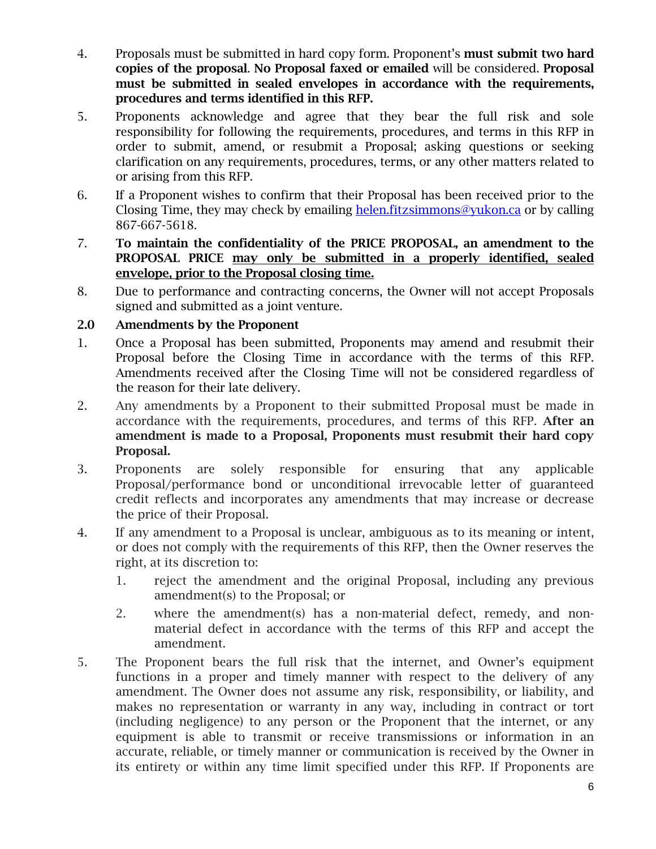- 4. Proposals must be submitted in hard copy form. Proponent's **must submit two hard** copies of the proposal. No Proposal faxed or emailed will be considered. Proposal must be submitted in sealed envelopes in accordance with the requirements, procedures and terms identified in this RFP.
- 5. Proponents acknowledge and agree that they bear the full risk and sole responsibility for following the requirements, procedures, and terms in this RFP in order to submit, amend, or resubmit a Proposal; asking questions or seeking clarification on any requirements, procedures, terms, or any other matters related to or arising from this RFP.
- 6. If a Proponent wishes to confirm that their Proposal has been received prior to the Closing Time, they may check by emailing [helen.fitzsimmons@yukon.ca](mailto:helen.fitzsimmons@yukon.ca) or by calling 867-667-5618.
- 7. To maintain the confidentiality of the PRICE PROPOSAL, an amendment to the PROPOSAL PRICE may only be submitted in a properly identified, sealed envelope, prior to the Proposal closing time.
- 8. Due to performance and contracting concerns, the Owner will not accept Proposals signed and submitted as a joint venture.

#### 2.0 Amendments by the Proponent

- 1. Once a Proposal has been submitted, Proponents may amend and resubmit their Proposal before the Closing Time in accordance with the terms of this RFP. Amendments received after the Closing Time will not be considered regardless of the reason for their late delivery.
- 2. Any amendments by a Proponent to their submitted Proposal must be made in accordance with the requirements, procedures, and terms of this RFP. After an amendment is made to a Proposal, Proponents must resubmit their hard copy Proposal.
- 3. Proponents are solely responsible for ensuring that any applicable Proposal/performance bond or unconditional irrevocable letter of guaranteed credit reflects and incorporates any amendments that may increase or decrease the price of their Proposal.
- 4. If any amendment to a Proposal is unclear, ambiguous as to its meaning or intent, or does not comply with the requirements of this RFP, then the Owner reserves the right, at its discretion to:
	- 1. reject the amendment and the original Proposal, including any previous amendment(s) to the Proposal; or
	- 2. where the amendment(s) has a non-material defect, remedy, and nonmaterial defect in accordance with the terms of this RFP and accept the amendment.
- 5. The Proponent bears the full risk that the internet, and Owner's equipment functions in a proper and timely manner with respect to the delivery of any amendment. The Owner does not assume any risk, responsibility, or liability, and makes no representation or warranty in any way, including in contract or tort (including negligence) to any person or the Proponent that the internet, or any equipment is able to transmit or receive transmissions or information in an accurate, reliable, or timely manner or communication is received by the Owner in its entirety or within any time limit specified under this RFP. If Proponents are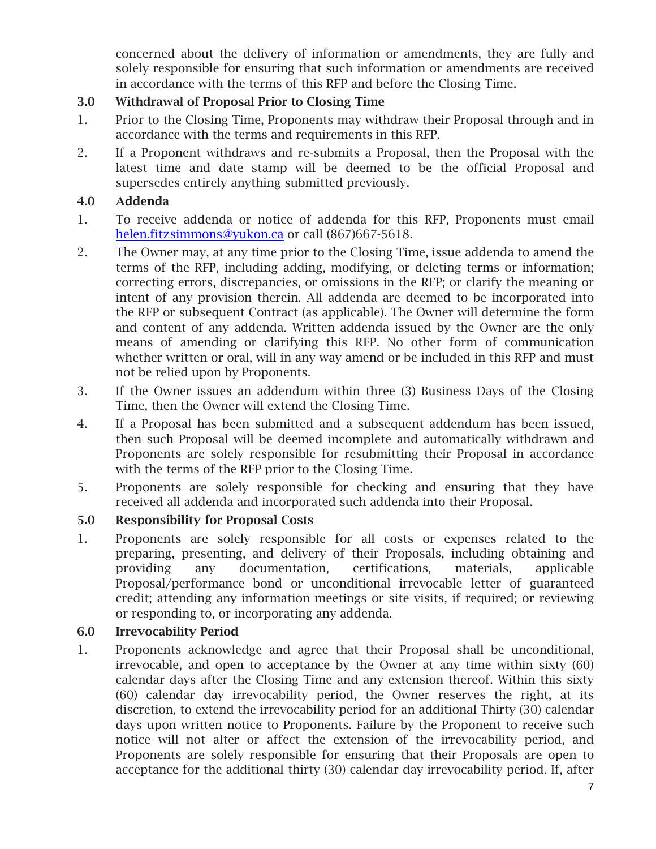concerned about the delivery of information or amendments, they are fully and solely responsible for ensuring that such information or amendments are received in accordance with the terms of this RFP and before the Closing Time.

# 3.0 Withdrawal of Proposal Prior to Closing Time

- 1. Prior to the Closing Time, Proponents may withdraw their Proposal through and in accordance with the terms and requirements in this RFP.
- 2. If a Proponent withdraws and re-submits a Proposal, then the Proposal with the latest time and date stamp will be deemed to be the official Proposal and supersedes entirely anything submitted previously.

# 4.0 Addenda

- 1. To receive addenda or notice of addenda for this RFP, Proponents must email [helen.fitzsimmons@yukon.ca](mailto:helen.fitzsimmons@yukon.ca) or call (867)667-5618.
- 2. The Owner may, at any time prior to the Closing Time, issue addenda to amend the terms of the RFP, including adding, modifying, or deleting terms or information; correcting errors, discrepancies, or omissions in the RFP; or clarify the meaning or intent of any provision therein. All addenda are deemed to be incorporated into the RFP or subsequent Contract (as applicable). The Owner will determine the form and content of any addenda. Written addenda issued by the Owner are the only means of amending or clarifying this RFP. No other form of communication whether written or oral, will in any way amend or be included in this RFP and must not be relied upon by Proponents.
- 3. If the Owner issues an addendum within three (3) Business Days of the Closing Time, then the Owner will extend the Closing Time.
- 4. If a Proposal has been submitted and a subsequent addendum has been issued, then such Proposal will be deemed incomplete and automatically withdrawn and Proponents are solely responsible for resubmitting their Proposal in accordance with the terms of the RFP prior to the Closing Time.
- 5. Proponents are solely responsible for checking and ensuring that they have received all addenda and incorporated such addenda into their Proposal.

# 5.0 Responsibility for Proposal Costs

1. Proponents are solely responsible for all costs or expenses related to the preparing, presenting, and delivery of their Proposals, including obtaining and providing any documentation, certifications, materials, applicable Proposal/performance bond or unconditional irrevocable letter of guaranteed credit; attending any information meetings or site visits, if required; or reviewing or responding to, or incorporating any addenda.

# 6.0 Irrevocability Period

1. Proponents acknowledge and agree that their Proposal shall be unconditional, irrevocable, and open to acceptance by the Owner at any time within sixty (60) calendar days after the Closing Time and any extension thereof. Within this sixty (60) calendar day irrevocability period, the Owner reserves the right, at its discretion, to extend the irrevocability period for an additional Thirty (30) calendar days upon written notice to Proponents. Failure by the Proponent to receive such notice will not alter or affect the extension of the irrevocability period, and Proponents are solely responsible for ensuring that their Proposals are open to acceptance for the additional thirty (30) calendar day irrevocability period. If, after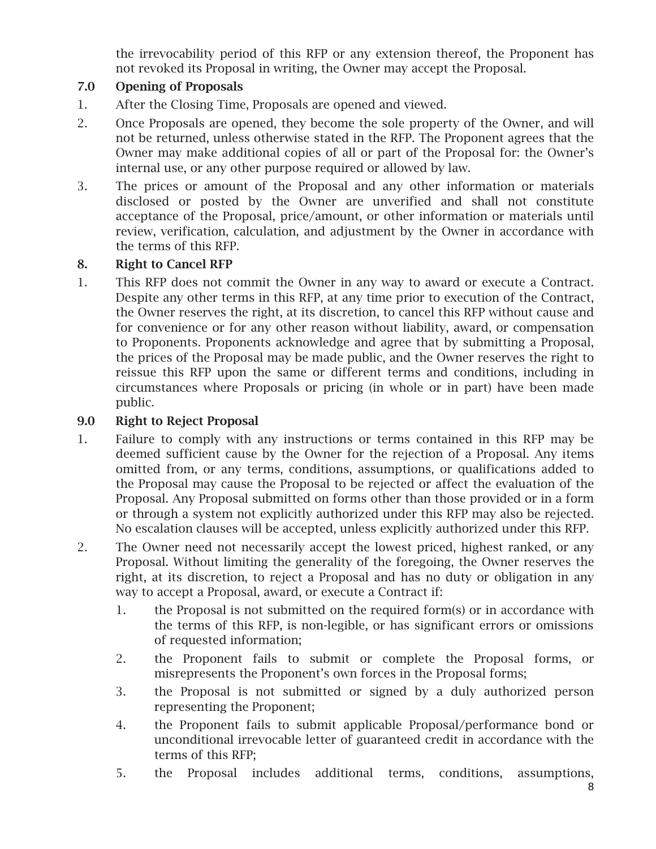the irrevocability period of this RFP or any extension thereof, the Proponent has not revoked its Proposal in writing, the Owner may accept the Proposal.

# 7.0 Opening of Proposals

- 1. After the Closing Time, Proposals are opened and viewed.
- 2. Once Proposals are opened, they become the sole property of the Owner, and will not be returned, unless otherwise stated in the RFP. The Proponent agrees that the Owner may make additional copies of all or part of the Proposal for: the Owner's internal use, or any other purpose required or allowed by law.
- 3. The prices or amount of the Proposal and any other information or materials disclosed or posted by the Owner are unverified and shall not constitute acceptance of the Proposal, price/amount, or other information or materials until review, verification, calculation, and adjustment by the Owner in accordance with the terms of this RFP.

# 8. Right to Cancel RFP

1. This RFP does not commit the Owner in any way to award or execute a Contract. Despite any other terms in this RFP, at any time prior to execution of the Contract, the Owner reserves the right, at its discretion, to cancel this RFP without cause and for convenience or for any other reason without liability, award, or compensation to Proponents. Proponents acknowledge and agree that by submitting a Proposal, the prices of the Proposal may be made public, and the Owner reserves the right to reissue this RFP upon the same or different terms and conditions, including in circumstances where Proposals or pricing (in whole or in part) have been made public.

## 9.0 Right to Reject Proposal

- 1. Failure to comply with any instructions or terms contained in this RFP may be deemed sufficient cause by the Owner for the rejection of a Proposal. Any items omitted from, or any terms, conditions, assumptions, or qualifications added to the Proposal may cause the Proposal to be rejected or affect the evaluation of the Proposal. Any Proposal submitted on forms other than those provided or in a form or through a system not explicitly authorized under this RFP may also be rejected. No escalation clauses will be accepted, unless explicitly authorized under this RFP.
- 2. The Owner need not necessarily accept the lowest priced, highest ranked, or any Proposal. Without limiting the generality of the foregoing, the Owner reserves the right, at its discretion, to reject a Proposal and has no duty or obligation in any way to accept a Proposal, award, or execute a Contract if:
	- 1. the Proposal is not submitted on the required form(s) or in accordance with the terms of this RFP, is non-legible, or has significant errors or omissions of requested information;
	- 2. the Proponent fails to submit or complete the Proposal forms, or misrepresents the Proponent's own forces in the Proposal forms;
	- 3. the Proposal is not submitted or signed by a duly authorized person representing the Proponent;
	- 4. the Proponent fails to submit applicable Proposal/performance bond or unconditional irrevocable letter of guaranteed credit in accordance with the terms of this RFP;
	- 5. the Proposal includes additional terms, conditions, assumptions,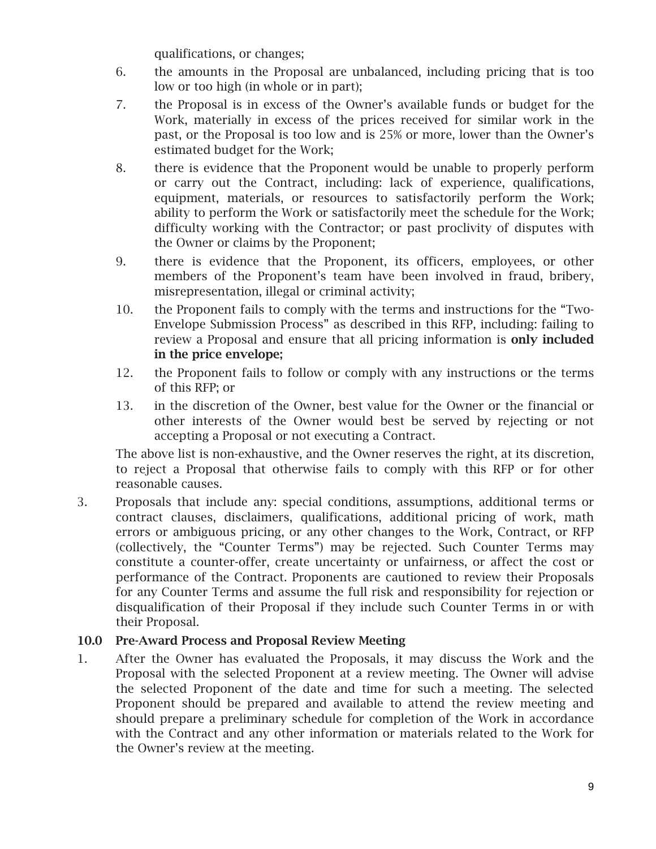qualifications, or changes;

- 6. the amounts in the Proposal are unbalanced, including pricing that is too low or too high (in whole or in part);
- 7. the Proposal is in excess of the Owner's available funds or budget for the Work, materially in excess of the prices received for similar work in the past, or the Proposal is too low and is 25% or more, lower than the Owner's estimated budget for the Work;
- 8. there is evidence that the Proponent would be unable to properly perform or carry out the Contract, including: lack of experience, qualifications, equipment, materials, or resources to satisfactorily perform the Work; ability to perform the Work or satisfactorily meet the schedule for the Work; difficulty working with the Contractor; or past proclivity of disputes with the Owner or claims by the Proponent;
- 9. there is evidence that the Proponent, its officers, employees, or other members of the Proponent's team have been involved in fraud, bribery, misrepresentation, illegal or criminal activity;
- 10. the Proponent fails to comply with the terms and instructions for the "Two-Envelope Submission Process" as described in this RFP, including: failing to review a Proposal and ensure that all pricing information is only included in the price envelope;
- 12. the Proponent fails to follow or comply with any instructions or the terms of this RFP; or
- 13. in the discretion of the Owner, best value for the Owner or the financial or other interests of the Owner would best be served by rejecting or not accepting a Proposal or not executing a Contract.

The above list is non-exhaustive, and the Owner reserves the right, at its discretion, to reject a Proposal that otherwise fails to comply with this RFP or for other reasonable causes.

3. Proposals that include any: special conditions, assumptions, additional terms or contract clauses, disclaimers, qualifications, additional pricing of work, math errors or ambiguous pricing, or any other changes to the Work, Contract, or RFP (collectively, the "Counter Terms") may be rejected. Such Counter Terms may constitute a counter-offer, create uncertainty or unfairness, or affect the cost or performance of the Contract. Proponents are cautioned to review their Proposals for any Counter Terms and assume the full risk and responsibility for rejection or disqualification of their Proposal if they include such Counter Terms in or with their Proposal.

# 10.0 Pre-Award Process and Proposal Review Meeting

1. After the Owner has evaluated the Proposals, it may discuss the Work and the Proposal with the selected Proponent at a review meeting. The Owner will advise the selected Proponent of the date and time for such a meeting. The selected Proponent should be prepared and available to attend the review meeting and should prepare a preliminary schedule for completion of the Work in accordance with the Contract and any other information or materials related to the Work for the Owner's review at the meeting.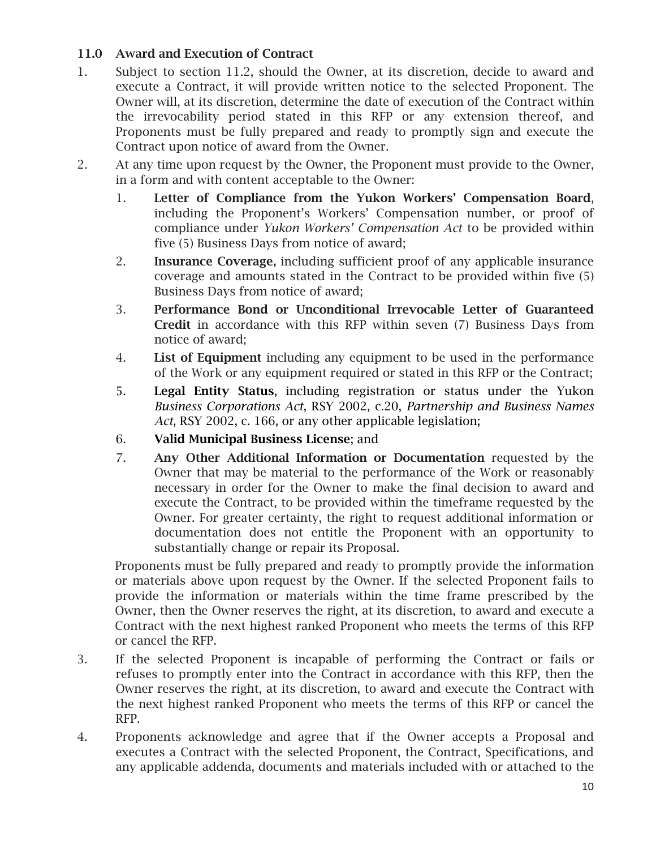# 11.0 Award and Execution of Contract

- 1. Subject to section 11.2, should the Owner, at its discretion, decide to award and execute a Contract, it will provide written notice to the selected Proponent. The Owner will, at its discretion, determine the date of execution of the Contract within the irrevocability period stated in this RFP or any extension thereof, and Proponents must be fully prepared and ready to promptly sign and execute the Contract upon notice of award from the Owner.
- 2. At any time upon request by the Owner, the Proponent must provide to the Owner, in a form and with content acceptable to the Owner:
	- 1. Letter of Compliance from the Yukon Workers' Compensation Board, including the Proponent's Workers' Compensation number, or proof of compliance under *Yukon Workers' Compensation Act* to be provided within five (5) Business Days from notice of award;
	- 2. Insurance Coverage, including sufficient proof of any applicable insurance coverage and amounts stated in the Contract to be provided within five (5) Business Days from notice of award;
	- 3. Performance Bond or Unconditional Irrevocable Letter of Guaranteed Credit in accordance with this RFP within seven (7) Business Days from notice of award;
	- 4. List of Equipment including any equipment to be used in the performance of the Work or any equipment required or stated in this RFP or the Contract;
	- 5. Legal Entity Status, including registration or status under the Yukon *Business Corporations Act*, RSY 2002, c.20, *Partnership and Business Names Act*, RSY 2002, c. 166, or any other applicable legislation;
	- 6. Valid Municipal Business License; and
	- 7. Any Other Additional Information or Documentation requested by the Owner that may be material to the performance of the Work or reasonably necessary in order for the Owner to make the final decision to award and execute the Contract, to be provided within the timeframe requested by the Owner. For greater certainty, the right to request additional information or documentation does not entitle the Proponent with an opportunity to substantially change or repair its Proposal.

Proponents must be fully prepared and ready to promptly provide the information or materials above upon request by the Owner. If the selected Proponent fails to provide the information or materials within the time frame prescribed by the Owner, then the Owner reserves the right, at its discretion, to award and execute a Contract with the next highest ranked Proponent who meets the terms of this RFP or cancel the RFP.

- 3. If the selected Proponent is incapable of performing the Contract or fails or refuses to promptly enter into the Contract in accordance with this RFP, then the Owner reserves the right, at its discretion, to award and execute the Contract with the next highest ranked Proponent who meets the terms of this RFP or cancel the RFP.
- 4. Proponents acknowledge and agree that if the Owner accepts a Proposal and executes a Contract with the selected Proponent, the Contract, Specifications, and any applicable addenda, documents and materials included with or attached to the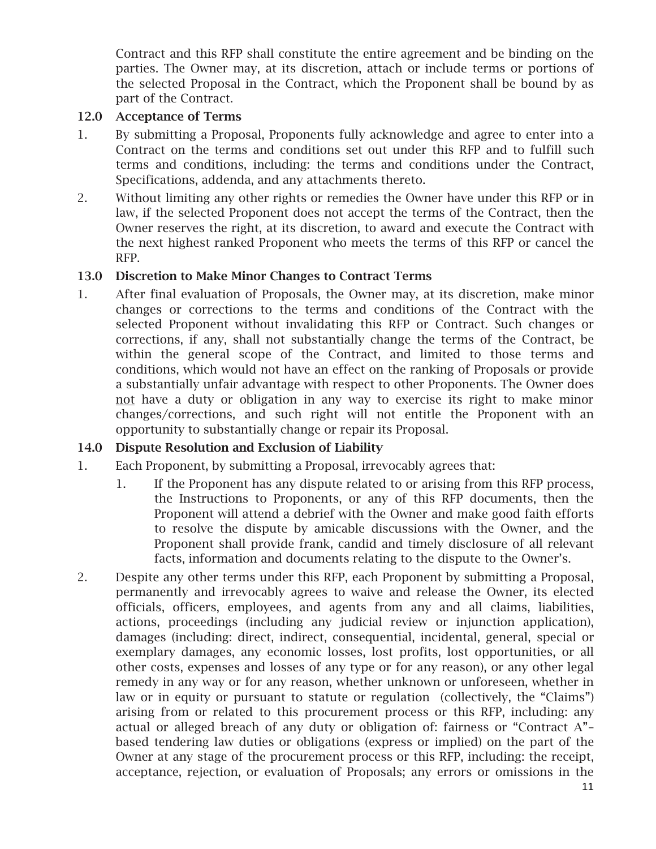Contract and this RFP shall constitute the entire agreement and be binding on the parties. The Owner may, at its discretion, attach or include terms or portions of the selected Proposal in the Contract, which the Proponent shall be bound by as part of the Contract.

## 12.0 Acceptance of Terms

- 1. By submitting a Proposal, Proponents fully acknowledge and agree to enter into a Contract on the terms and conditions set out under this RFP and to fulfill such terms and conditions, including: the terms and conditions under the Contract, Specifications, addenda, and any attachments thereto.
- 2. Without limiting any other rights or remedies the Owner have under this RFP or in law, if the selected Proponent does not accept the terms of the Contract, then the Owner reserves the right, at its discretion, to award and execute the Contract with the next highest ranked Proponent who meets the terms of this RFP or cancel the RFP.

# 13.0 Discretion to Make Minor Changes to Contract Terms

1. After final evaluation of Proposals, the Owner may, at its discretion, make minor changes or corrections to the terms and conditions of the Contract with the selected Proponent without invalidating this RFP or Contract. Such changes or corrections, if any, shall not substantially change the terms of the Contract, be within the general scope of the Contract, and limited to those terms and conditions, which would not have an effect on the ranking of Proposals or provide a substantially unfair advantage with respect to other Proponents. The Owner does not have a duty or obligation in any way to exercise its right to make minor changes/corrections, and such right will not entitle the Proponent with an opportunity to substantially change or repair its Proposal.

# 14.0 Dispute Resolution and Exclusion of Liability

- 1. Each Proponent, by submitting a Proposal, irrevocably agrees that:
	- 1. If the Proponent has any dispute related to or arising from this RFP process, the Instructions to Proponents, or any of this RFP documents, then the Proponent will attend a debrief with the Owner and make good faith efforts to resolve the dispute by amicable discussions with the Owner, and the Proponent shall provide frank, candid and timely disclosure of all relevant facts, information and documents relating to the dispute to the Owner's.
- 2. Despite any other terms under this RFP, each Proponent by submitting a Proposal, permanently and irrevocably agrees to waive and release the Owner, its elected officials, officers, employees, and agents from any and all claims, liabilities, actions, proceedings (including any judicial review or injunction application), damages (including: direct, indirect, consequential, incidental, general, special or exemplary damages, any economic losses, lost profits, lost opportunities, or all other costs, expenses and losses of any type or for any reason), or any other legal remedy in any way or for any reason, whether unknown or unforeseen, whether in law or in equity or pursuant to statute or regulation (collectively, the "Claims") arising from or related to this procurement process or this RFP, including: any actual or alleged breach of any duty or obligation of: fairness or "Contract A"– based tendering law duties or obligations (express or implied) on the part of the Owner at any stage of the procurement process or this RFP, including: the receipt, acceptance, rejection, or evaluation of Proposals; any errors or omissions in the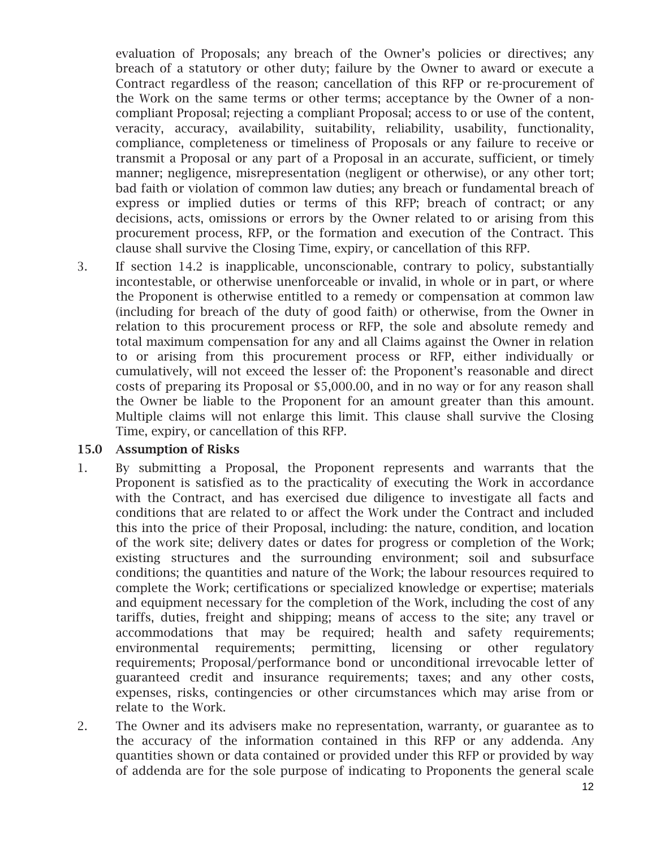evaluation of Proposals; any breach of the Owner's policies or directives; any breach of a statutory or other duty; failure by the Owner to award or execute a Contract regardless of the reason; cancellation of this RFP or re-procurement of the Work on the same terms or other terms; acceptance by the Owner of a noncompliant Proposal; rejecting a compliant Proposal; access to or use of the content, veracity, accuracy, availability, suitability, reliability, usability, functionality, compliance, completeness or timeliness of Proposals or any failure to receive or transmit a Proposal or any part of a Proposal in an accurate, sufficient, or timely manner; negligence, misrepresentation (negligent or otherwise), or any other tort; bad faith or violation of common law duties; any breach or fundamental breach of express or implied duties or terms of this RFP; breach of contract; or any decisions, acts, omissions or errors by the Owner related to or arising from this procurement process, RFP, or the formation and execution of the Contract. This clause shall survive the Closing Time, expiry, or cancellation of this RFP.

3. If section 14.2 is inapplicable, unconscionable, contrary to policy, substantially incontestable, or otherwise unenforceable or invalid, in whole or in part, or where the Proponent is otherwise entitled to a remedy or compensation at common law (including for breach of the duty of good faith) or otherwise, from the Owner in relation to this procurement process or RFP, the sole and absolute remedy and total maximum compensation for any and all Claims against the Owner in relation to or arising from this procurement process or RFP, either individually or cumulatively, will not exceed the lesser of: the Proponent's reasonable and direct costs of preparing its Proposal or \$5,000.00, and in no way or for any reason shall the Owner be liable to the Proponent for an amount greater than this amount. Multiple claims will not enlarge this limit. This clause shall survive the Closing Time, expiry, or cancellation of this RFP.

#### 15.0 Assumption of Risks

- 1. By submitting a Proposal, the Proponent represents and warrants that the Proponent is satisfied as to the practicality of executing the Work in accordance with the Contract, and has exercised due diligence to investigate all facts and conditions that are related to or affect the Work under the Contract and included this into the price of their Proposal, including: the nature, condition, and location of the work site; delivery dates or dates for progress or completion of the Work; existing structures and the surrounding environment; soil and subsurface conditions; the quantities and nature of the Work; the labour resources required to complete the Work; certifications or specialized knowledge or expertise; materials and equipment necessary for the completion of the Work, including the cost of any tariffs, duties, freight and shipping; means of access to the site; any travel or accommodations that may be required; health and safety requirements; environmental requirements; permitting, licensing or other regulatory requirements; Proposal/performance bond or unconditional irrevocable letter of guaranteed credit and insurance requirements; taxes; and any other costs, expenses, risks, contingencies or other circumstances which may arise from or relate to the Work.
- 2. The Owner and its advisers make no representation, warranty, or guarantee as to the accuracy of the information contained in this RFP or any addenda. Any quantities shown or data contained or provided under this RFP or provided by way of addenda are for the sole purpose of indicating to Proponents the general scale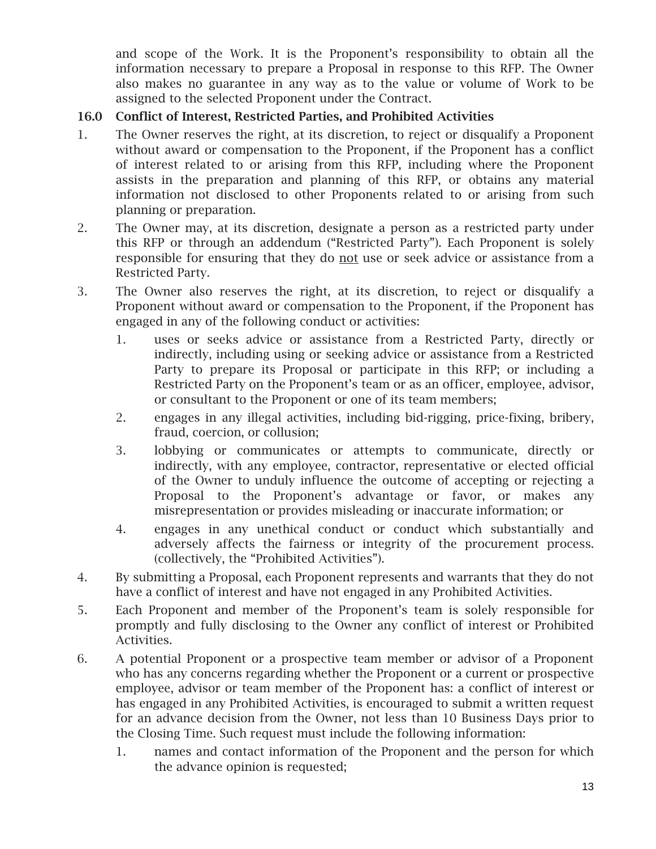and scope of the Work. It is the Proponent's responsibility to obtain all the information necessary to prepare a Proposal in response to this RFP. The Owner also makes no guarantee in any way as to the value or volume of Work to be assigned to the selected Proponent under the Contract.

# 16.0 Conflict of Interest, Restricted Parties, and Prohibited Activities

- 1. The Owner reserves the right, at its discretion, to reject or disqualify a Proponent without award or compensation to the Proponent, if the Proponent has a conflict of interest related to or arising from this RFP, including where the Proponent assists in the preparation and planning of this RFP, or obtains any material information not disclosed to other Proponents related to or arising from such planning or preparation.
- 2. The Owner may, at its discretion, designate a person as a restricted party under this RFP or through an addendum ("Restricted Party"). Each Proponent is solely responsible for ensuring that they do not use or seek advice or assistance from a Restricted Party.
- 3. The Owner also reserves the right, at its discretion, to reject or disqualify a Proponent without award or compensation to the Proponent, if the Proponent has engaged in any of the following conduct or activities:
	- 1. uses or seeks advice or assistance from a Restricted Party, directly or indirectly, including using or seeking advice or assistance from a Restricted Party to prepare its Proposal or participate in this RFP; or including a Restricted Party on the Proponent's team or as an officer, employee, advisor, or consultant to the Proponent or one of its team members;
	- 2. engages in any illegal activities, including bid-rigging, price-fixing, bribery, fraud, coercion, or collusion;
	- 3. lobbying or communicates or attempts to communicate, directly or indirectly, with any employee, contractor, representative or elected official of the Owner to unduly influence the outcome of accepting or rejecting a Proposal to the Proponent's advantage or favor, or makes any misrepresentation or provides misleading or inaccurate information; or
	- 4. engages in any unethical conduct or conduct which substantially and adversely affects the fairness or integrity of the procurement process. (collectively, the "Prohibited Activities").
- 4. By submitting a Proposal, each Proponent represents and warrants that they do not have a conflict of interest and have not engaged in any Prohibited Activities.
- 5. Each Proponent and member of the Proponent's team is solely responsible for promptly and fully disclosing to the Owner any conflict of interest or Prohibited Activities.
- 6. A potential Proponent or a prospective team member or advisor of a Proponent who has any concerns regarding whether the Proponent or a current or prospective employee, advisor or team member of the Proponent has: a conflict of interest or has engaged in any Prohibited Activities, is encouraged to submit a written request for an advance decision from the Owner, not less than 10 Business Days prior to the Closing Time. Such request must include the following information:
	- 1. names and contact information of the Proponent and the person for which the advance opinion is requested;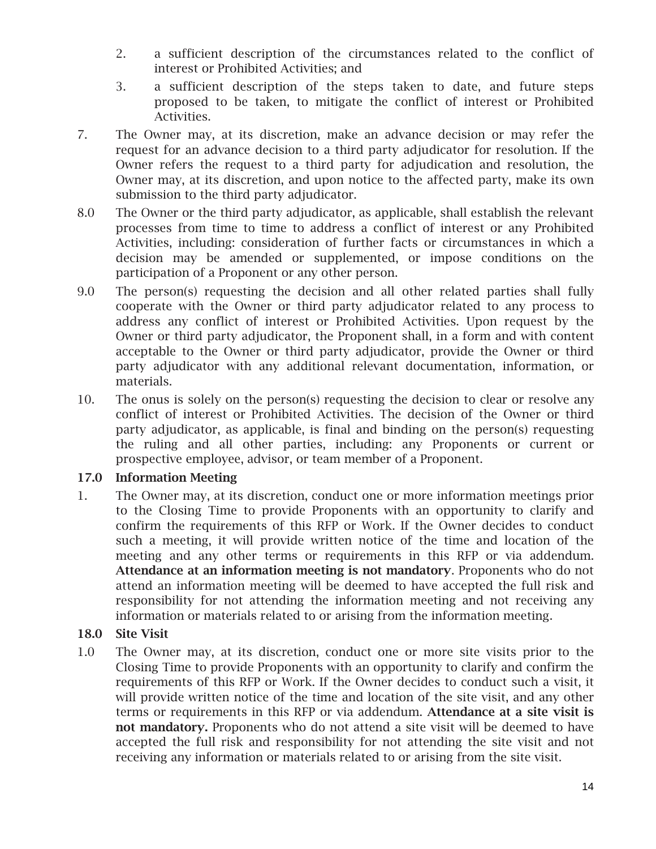- 2. a sufficient description of the circumstances related to the conflict of interest or Prohibited Activities; and
- 3. a sufficient description of the steps taken to date, and future steps proposed to be taken, to mitigate the conflict of interest or Prohibited Activities.
- 7. The Owner may, at its discretion, make an advance decision or may refer the request for an advance decision to a third party adjudicator for resolution. If the Owner refers the request to a third party for adjudication and resolution, the Owner may, at its discretion, and upon notice to the affected party, make its own submission to the third party adjudicator.
- 8.0 The Owner or the third party adjudicator, as applicable, shall establish the relevant processes from time to time to address a conflict of interest or any Prohibited Activities, including: consideration of further facts or circumstances in which a decision may be amended or supplemented, or impose conditions on the participation of a Proponent or any other person.
- 9.0 The person(s) requesting the decision and all other related parties shall fully cooperate with the Owner or third party adjudicator related to any process to address any conflict of interest or Prohibited Activities. Upon request by the Owner or third party adjudicator, the Proponent shall, in a form and with content acceptable to the Owner or third party adjudicator, provide the Owner or third party adjudicator with any additional relevant documentation, information, or materials.
- 10. The onus is solely on the person(s) requesting the decision to clear or resolve any conflict of interest or Prohibited Activities. The decision of the Owner or third party adjudicator, as applicable, is final and binding on the person(s) requesting the ruling and all other parties, including: any Proponents or current or prospective employee, advisor, or team member of a Proponent.

# 17.0 Information Meeting

1. The Owner may, at its discretion, conduct one or more information meetings prior to the Closing Time to provide Proponents with an opportunity to clarify and confirm the requirements of this RFP or Work. If the Owner decides to conduct such a meeting, it will provide written notice of the time and location of the meeting and any other terms or requirements in this RFP or via addendum. Attendance at an information meeting is not mandatory. Proponents who do not attend an information meeting will be deemed to have accepted the full risk and responsibility for not attending the information meeting and not receiving any information or materials related to or arising from the information meeting.

# 18.0 Site Visit

1.0 The Owner may, at its discretion, conduct one or more site visits prior to the Closing Time to provide Proponents with an opportunity to clarify and confirm the requirements of this RFP or Work. If the Owner decides to conduct such a visit, it will provide written notice of the time and location of the site visit, and any other terms or requirements in this RFP or via addendum. Attendance at a site visit is not mandatory. Proponents who do not attend a site visit will be deemed to have accepted the full risk and responsibility for not attending the site visit and not receiving any information or materials related to or arising from the site visit.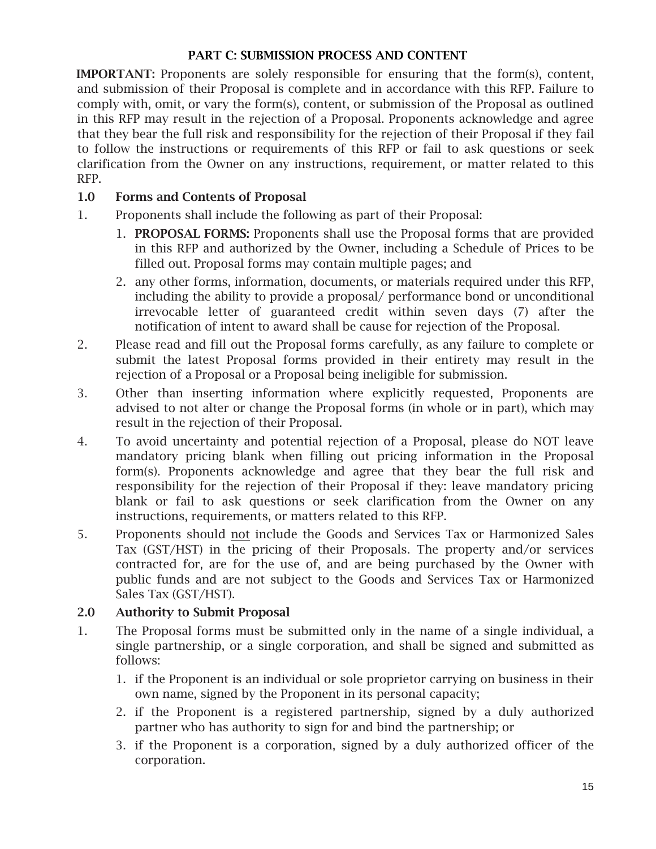# PART C: SUBMISSION PROCESS AND CONTENT

IMPORTANT: Proponents are solely responsible for ensuring that the form(s), content, and submission of their Proposal is complete and in accordance with this RFP. Failure to comply with, omit, or vary the form(s), content, or submission of the Proposal as outlined in this RFP may result in the rejection of a Proposal. Proponents acknowledge and agree that they bear the full risk and responsibility for the rejection of their Proposal if they fail to follow the instructions or requirements of this RFP or fail to ask questions or seek clarification from the Owner on any instructions, requirement, or matter related to this RFP.

# 1.0 Forms and Contents of Proposal

- 1. Proponents shall include the following as part of their Proposal:
	- 1. PROPOSAL FORMS: Proponents shall use the Proposal forms that are provided in this RFP and authorized by the Owner, including a Schedule of Prices to be filled out. Proposal forms may contain multiple pages; and
	- 2. any other forms, information, documents, or materials required under this RFP, including the ability to provide a proposal/ performance bond or unconditional irrevocable letter of guaranteed credit within seven days (7) after the notification of intent to award shall be cause for rejection of the Proposal.
- 2. Please read and fill out the Proposal forms carefully, as any failure to complete or submit the latest Proposal forms provided in their entirety may result in the rejection of a Proposal or a Proposal being ineligible for submission.
- 3. Other than inserting information where explicitly requested, Proponents are advised to not alter or change the Proposal forms (in whole or in part), which may result in the rejection of their Proposal.
- 4. To avoid uncertainty and potential rejection of a Proposal, please do NOT leave mandatory pricing blank when filling out pricing information in the Proposal form(s). Proponents acknowledge and agree that they bear the full risk and responsibility for the rejection of their Proposal if they: leave mandatory pricing blank or fail to ask questions or seek clarification from the Owner on any instructions, requirements, or matters related to this RFP.
- 5. Proponents should not include the Goods and Services Tax or Harmonized Sales Tax (GST/HST) in the pricing of their Proposals. The property and/or services contracted for, are for the use of, and are being purchased by the Owner with public funds and are not subject to the Goods and Services Tax or Harmonized Sales Tax (GST/HST).

# 2.0 Authority to Submit Proposal

- 1. The Proposal forms must be submitted only in the name of a single individual, a single partnership, or a single corporation, and shall be signed and submitted as follows:
	- 1. if the Proponent is an individual or sole proprietor carrying on business in their own name, signed by the Proponent in its personal capacity;
	- 2. if the Proponent is a registered partnership, signed by a duly authorized partner who has authority to sign for and bind the partnership; or
	- 3. if the Proponent is a corporation, signed by a duly authorized officer of the corporation.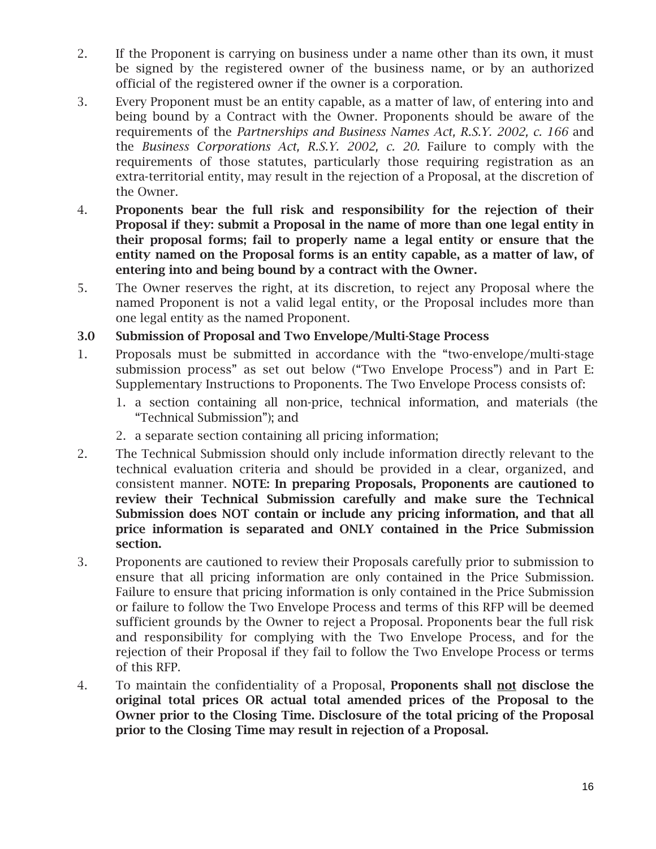- 2. If the Proponent is carrying on business under a name other than its own, it must be signed by the registered owner of the business name, or by an authorized official of the registered owner if the owner is a corporation.
- 3. Every Proponent must be an entity capable, as a matter of law, of entering into and being bound by a Contract with the Owner. Proponents should be aware of the requirements of the *Partnerships and Business Names Act, R.S.Y. 2002, c. 166* and the *Business Corporations Act, R.S.Y. 2002, c. 20.* Failure to comply with the requirements of those statutes, particularly those requiring registration as an extra-territorial entity, may result in the rejection of a Proposal, at the discretion of the Owner.
- 4. Proponents bear the full risk and responsibility for the rejection of their Proposal if they: submit a Proposal in the name of more than one legal entity in their proposal forms; fail to properly name a legal entity or ensure that the entity named on the Proposal forms is an entity capable, as a matter of law, of entering into and being bound by a contract with the Owner.
- 5. The Owner reserves the right, at its discretion, to reject any Proposal where the named Proponent is not a valid legal entity, or the Proposal includes more than one legal entity as the named Proponent.

3.0 Submission of Proposal and Two Envelope/Multi-Stage Process

- 1. Proposals must be submitted in accordance with the "two-envelope/multi-stage submission process" as set out below ("Two Envelope Process") and in Part E: Supplementary Instructions to Proponents. The Two Envelope Process consists of:
	- 1. a section containing all non-price, technical information, and materials (the "Technical Submission"); and
	- 2. a separate section containing all pricing information;
- 2. The Technical Submission should only include information directly relevant to the technical evaluation criteria and should be provided in a clear, organized, and consistent manner. NOTE: In preparing Proposals, Proponents are cautioned to review their Technical Submission carefully and make sure the Technical Submission does NOT contain or include any pricing information, and that all price information is separated and ONLY contained in the Price Submission section.
- 3. Proponents are cautioned to review their Proposals carefully prior to submission to ensure that all pricing information are only contained in the Price Submission. Failure to ensure that pricing information is only contained in the Price Submission or failure to follow the Two Envelope Process and terms of this RFP will be deemed sufficient grounds by the Owner to reject a Proposal. Proponents bear the full risk and responsibility for complying with the Two Envelope Process, and for the rejection of their Proposal if they fail to follow the Two Envelope Process or terms of this RFP.
- 4. To maintain the confidentiality of a Proposal, Proponents shall not disclose the original total prices OR actual total amended prices of the Proposal to the Owner prior to the Closing Time. Disclosure of the total pricing of the Proposal prior to the Closing Time may result in rejection of a Proposal.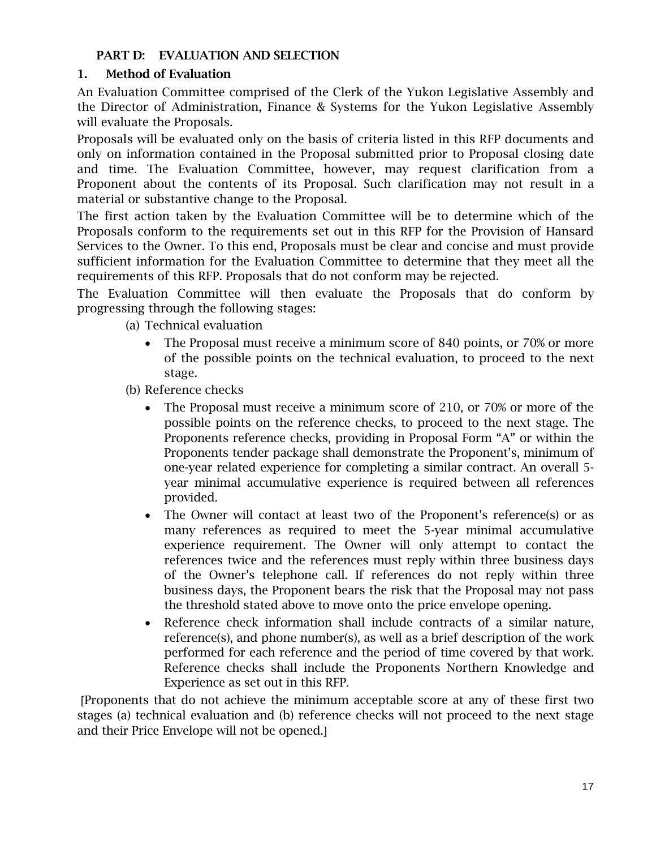# PART D: EVALUATION AND SELECTION

## 1. Method of Evaluation

An Evaluation Committee comprised of the Clerk of the Yukon Legislative Assembly and the Director of Administration, Finance & Systems for the Yukon Legislative Assembly will evaluate the Proposals.

Proposals will be evaluated only on the basis of criteria listed in this RFP documents and only on information contained in the Proposal submitted prior to Proposal closing date and time. The Evaluation Committee, however, may request clarification from a Proponent about the contents of its Proposal. Such clarification may not result in a material or substantive change to the Proposal.

The first action taken by the Evaluation Committee will be to determine which of the Proposals conform to the requirements set out in this RFP for the Provision of Hansard Services to the Owner. To this end, Proposals must be clear and concise and must provide sufficient information for the Evaluation Committee to determine that they meet all the requirements of this RFP. Proposals that do not conform may be rejected.

The Evaluation Committee will then evaluate the Proposals that do conform by progressing through the following stages:

- (a) Technical evaluation
	- The Proposal must receive a minimum score of 840 points, or 70% or more of the possible points on the technical evaluation, to proceed to the next stage.

(b) Reference checks

- The Proposal must receive a minimum score of 210, or 70% or more of the possible points on the reference checks, to proceed to the next stage. The Proponents reference checks, providing in Proposal Form "A" or within the Proponents tender package shall demonstrate the Proponent's, minimum of one-year related experience for completing a similar contract. An overall 5 year minimal accumulative experience is required between all references provided.
- The Owner will contact at least two of the Proponent's reference(s) or as many references as required to meet the 5-year minimal accumulative experience requirement. The Owner will only attempt to contact the references twice and the references must reply within three business days of the Owner's telephone call. If references do not reply within three business days, the Proponent bears the risk that the Proposal may not pass the threshold stated above to move onto the price envelope opening.
- Reference check information shall include contracts of a similar nature, reference(s), and phone number(s), as well as a brief description of the work performed for each reference and the period of time covered by that work. Reference checks shall include the Proponents Northern Knowledge and Experience as set out in this RFP.

Proponents that do not achieve the minimum acceptable score at any of these first two stages (a) technical evaluation and (b) reference checks will not proceed to the next stage and their Price Envelope will not be opened.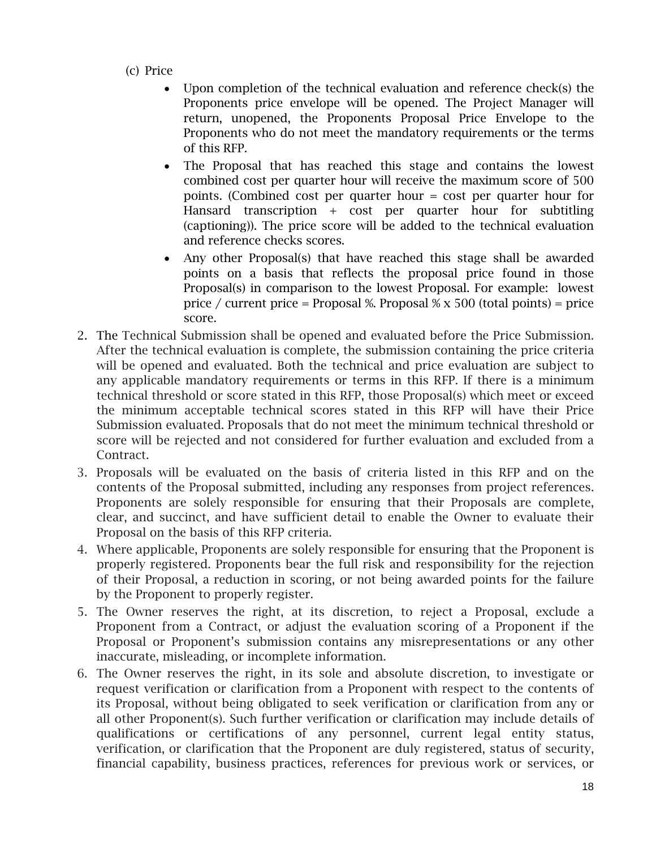- (c) Price
	- Upon completion of the technical evaluation and reference check(s) the Proponents price envelope will be opened. The Project Manager will return, unopened, the Proponents Proposal Price Envelope to the Proponents who do not meet the mandatory requirements or the terms of this RFP.
	- The Proposal that has reached this stage and contains the lowest combined cost per quarter hour will receive the maximum score of 500 points. (Combined cost per quarter hour = cost per quarter hour for Hansard transcription + cost per quarter hour for subtitling (captioning)). The price score will be added to the technical evaluation and reference checks scores.
	- Any other Proposal(s) that have reached this stage shall be awarded points on a basis that reflects the proposal price found in those Proposal(s) in comparison to the lowest Proposal. For example: lowest price / current price = Proposal %. Proposal  $\%$  x 500 (total points) = price score.
- 2. The Technical Submission shall be opened and evaluated before the Price Submission. After the technical evaluation is complete, the submission containing the price criteria will be opened and evaluated. Both the technical and price evaluation are subject to any applicable mandatory requirements or terms in this RFP. If there is a minimum technical threshold or score stated in this RFP, those Proposal(s) which meet or exceed the minimum acceptable technical scores stated in this RFP will have their Price Submission evaluated. Proposals that do not meet the minimum technical threshold or score will be rejected and not considered for further evaluation and excluded from a Contract.
- 3. Proposals will be evaluated on the basis of criteria listed in this RFP and on the contents of the Proposal submitted, including any responses from project references. Proponents are solely responsible for ensuring that their Proposals are complete, clear, and succinct, and have sufficient detail to enable the Owner to evaluate their Proposal on the basis of this RFP criteria.
- 4. Where applicable, Proponents are solely responsible for ensuring that the Proponent is properly registered. Proponents bear the full risk and responsibility for the rejection of their Proposal, a reduction in scoring, or not being awarded points for the failure by the Proponent to properly register.
- 5. The Owner reserves the right, at its discretion, to reject a Proposal, exclude a Proponent from a Contract, or adjust the evaluation scoring of a Proponent if the Proposal or Proponent's submission contains any misrepresentations or any other inaccurate, misleading, or incomplete information.
- 6. The Owner reserves the right, in its sole and absolute discretion, to investigate or request verification or clarification from a Proponent with respect to the contents of its Proposal, without being obligated to seek verification or clarification from any or all other Proponent(s). Such further verification or clarification may include details of qualifications or certifications of any personnel, current legal entity status, verification, or clarification that the Proponent are duly registered, status of security, financial capability, business practices, references for previous work or services, or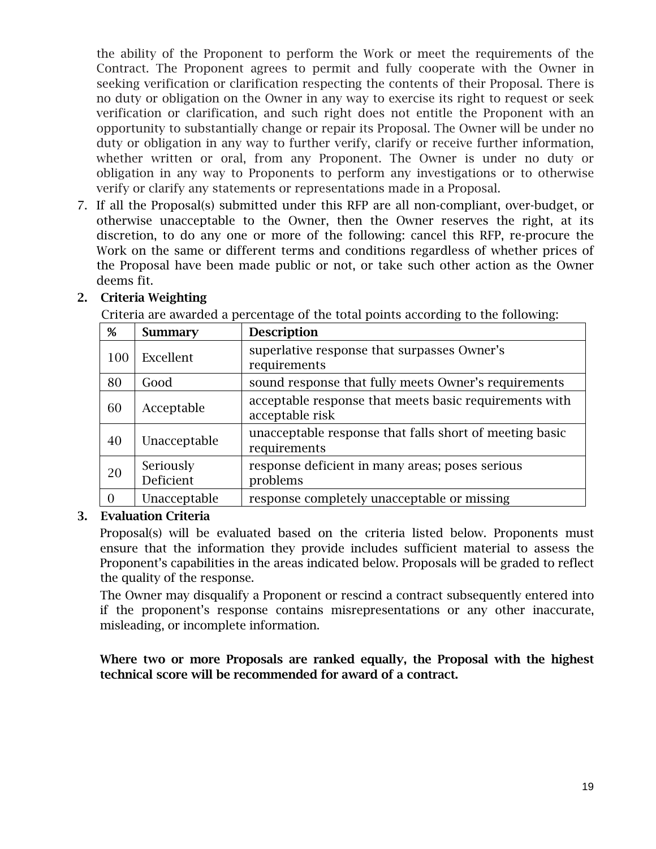the ability of the Proponent to perform the Work or meet the requirements of the Contract. The Proponent agrees to permit and fully cooperate with the Owner in seeking verification or clarification respecting the contents of their Proposal. There is no duty or obligation on the Owner in any way to exercise its right to request or seek verification or clarification, and such right does not entitle the Proponent with an opportunity to substantially change or repair its Proposal. The Owner will be under no duty or obligation in any way to further verify, clarify or receive further information, whether written or oral, from any Proponent. The Owner is under no duty or obligation in any way to Proponents to perform any investigations or to otherwise verify or clarify any statements or representations made in a Proposal.

7. If all the Proposal(s) submitted under this RFP are all non-compliant, over-budget, or otherwise unacceptable to the Owner, then the Owner reserves the right, at its discretion, to do any one or more of the following: cancel this RFP, re-procure the Work on the same or different terms and conditions regardless of whether prices of the Proposal have been made public or not, or take such other action as the Owner deems fit.

| %   | <b>Summary</b>         | <b>Description</b>                                                        |
|-----|------------------------|---------------------------------------------------------------------------|
| 100 | Excellent              | superlative response that surpasses Owner's<br>requirements               |
| 80  | Good                   | sound response that fully meets Owner's requirements                      |
| 60  | Acceptable             | acceptable response that meets basic requirements with<br>acceptable risk |
| 40  | Unacceptable           | unacceptable response that falls short of meeting basic<br>requirements   |
| 20  | Seriously<br>Deficient | response deficient in many areas; poses serious<br>problems               |
|     | Unacceptable           | response completely unacceptable or missing                               |

# 2. Criteria Weighting

Criteria are awarded a percentage of the total points according to the following:

# 3. Evaluation Criteria

Proposal(s) will be evaluated based on the criteria listed below. Proponents must ensure that the information they provide includes sufficient material to assess the Proponent's capabilities in the areas indicated below. Proposals will be graded to reflect the quality of the response.

The Owner may disqualify a Proponent or rescind a contract subsequently entered into if the proponent's response contains misrepresentations or any other inaccurate, misleading, or incomplete information.

Where two or more Proposals are ranked equally, the Proposal with the highest technical score will be recommended for award of a contract.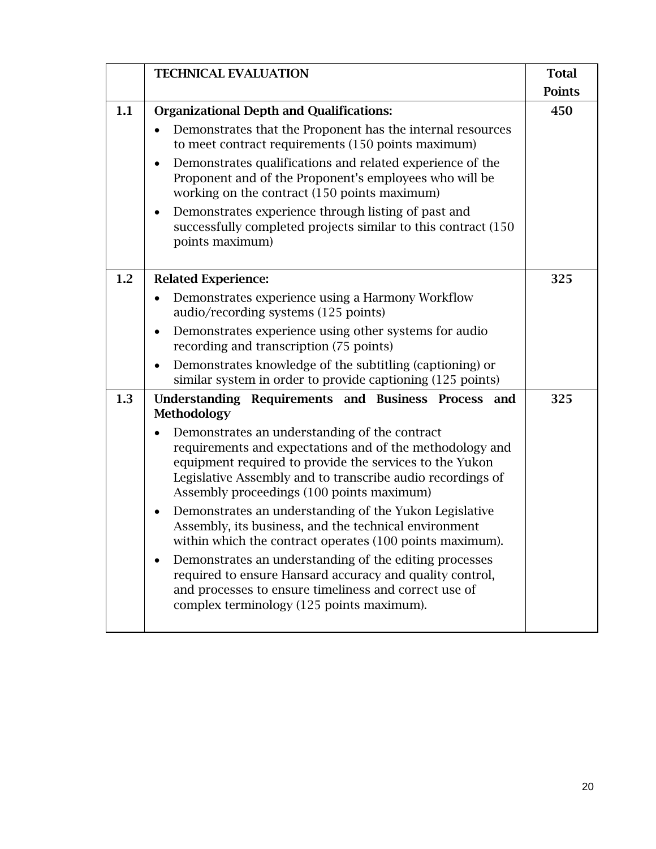|     | <b>TECHNICAL EVALUATION</b>                                                                                                                                                                                                                                                                                                                                                                                                                                                                                                                                                                                                                                                                                                                                             | <b>Total</b><br><b>Points</b> |
|-----|-------------------------------------------------------------------------------------------------------------------------------------------------------------------------------------------------------------------------------------------------------------------------------------------------------------------------------------------------------------------------------------------------------------------------------------------------------------------------------------------------------------------------------------------------------------------------------------------------------------------------------------------------------------------------------------------------------------------------------------------------------------------------|-------------------------------|
| 1.1 | <b>Organizational Depth and Qualifications:</b><br>Demonstrates that the Proponent has the internal resources<br>to meet contract requirements (150 points maximum)<br>Demonstrates qualifications and related experience of the<br>Proponent and of the Proponent's employees who will be<br>working on the contract (150 points maximum)<br>Demonstrates experience through listing of past and<br>$\bullet$<br>successfully completed projects similar to this contract (150)<br>points maximum)                                                                                                                                                                                                                                                                     | 450                           |
| 1.2 | <b>Related Experience:</b><br>Demonstrates experience using a Harmony Workflow<br>audio/recording systems (125 points)<br>Demonstrates experience using other systems for audio<br>recording and transcription (75 points)<br>Demonstrates knowledge of the subtitling (captioning) or<br>similar system in order to provide captioning (125 points)                                                                                                                                                                                                                                                                                                                                                                                                                    | 325                           |
| 1.3 | Understanding Requirements and Business Process and<br><b>Methodology</b><br>Demonstrates an understanding of the contract<br>requirements and expectations and of the methodology and<br>equipment required to provide the services to the Yukon<br>Legislative Assembly and to transcribe audio recordings of<br>Assembly proceedings (100 points maximum)<br>Demonstrates an understanding of the Yukon Legislative<br>Assembly, its business, and the technical environment<br>within which the contract operates (100 points maximum).<br>Demonstrates an understanding of the editing processes<br>required to ensure Hansard accuracy and quality control,<br>and processes to ensure timeliness and correct use of<br>complex terminology (125 points maximum). | 325                           |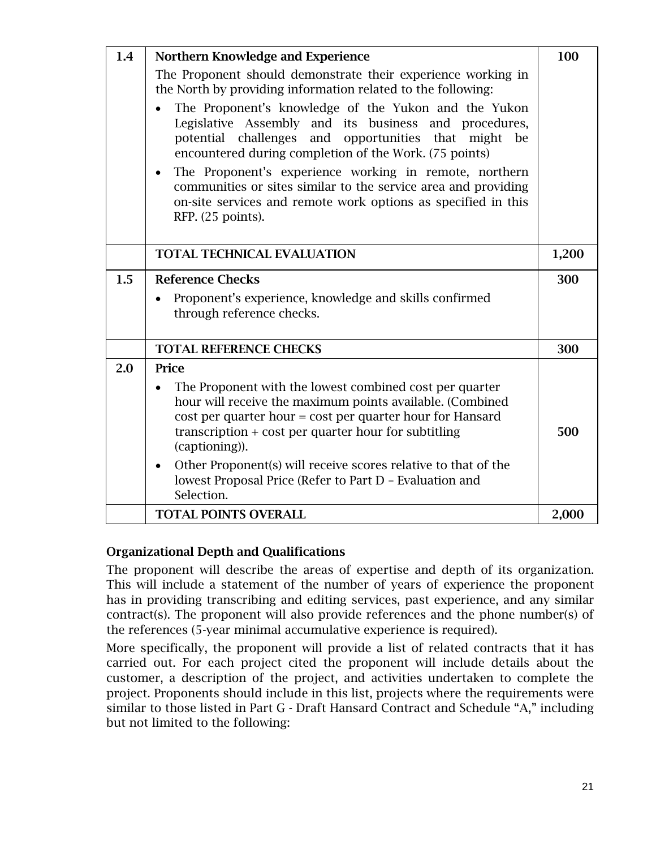| 1.4 | Northern Knowledge and Experience                                                                                                                                                                                                                                                                                                                                                                                                                 |       |  |
|-----|---------------------------------------------------------------------------------------------------------------------------------------------------------------------------------------------------------------------------------------------------------------------------------------------------------------------------------------------------------------------------------------------------------------------------------------------------|-------|--|
|     | The Proponent should demonstrate their experience working in<br>the North by providing information related to the following:                                                                                                                                                                                                                                                                                                                      |       |  |
|     | The Proponent's knowledge of the Yukon and the Yukon<br>Legislative Assembly and its business and procedures,<br>potential challenges and opportunities that might be<br>encountered during completion of the Work. (75 points)<br>The Proponent's experience working in remote, northern<br>communities or sites similar to the service area and providing<br>on-site services and remote work options as specified in this<br>RFP. (25 points). |       |  |
|     | <b>TOTAL TECHNICAL EVALUATION</b>                                                                                                                                                                                                                                                                                                                                                                                                                 | 1,200 |  |
| 1.5 | <b>Reference Checks</b>                                                                                                                                                                                                                                                                                                                                                                                                                           | 300   |  |
|     | Proponent's experience, knowledge and skills confirmed<br>through reference checks.                                                                                                                                                                                                                                                                                                                                                               |       |  |
|     | <b>TOTAL REFERENCE CHECKS</b>                                                                                                                                                                                                                                                                                                                                                                                                                     | 300   |  |
| 2.0 | Price                                                                                                                                                                                                                                                                                                                                                                                                                                             |       |  |
|     | The Proponent with the lowest combined cost per quarter<br>$\bullet$<br>hour will receive the maximum points available. (Combined<br>cost per quarter hour = cost per quarter hour for Hansard<br>transcription $+$ cost per quarter hour for subtitling<br>(captioning)).<br>Other Proponent(s) will receive scores relative to that of the<br>$\bullet$                                                                                         | 500   |  |
|     | lowest Proposal Price (Refer to Part D - Evaluation and<br>Selection.                                                                                                                                                                                                                                                                                                                                                                             |       |  |
|     | <b>TOTAL POINTS OVERALL</b>                                                                                                                                                                                                                                                                                                                                                                                                                       | 2,000 |  |

#### Organizational Depth and Qualifications

The proponent will describe the areas of expertise and depth of its organization. This will include a statement of the number of years of experience the proponent has in providing transcribing and editing services, past experience, and any similar contract(s). The proponent will also provide references and the phone number(s) of the references (5-year minimal accumulative experience is required).

More specifically, the proponent will provide a list of related contracts that it has carried out. For each project cited the proponent will include details about the customer, a description of the project, and activities undertaken to complete the project. Proponents should include in this list, projects where the requirements were similar to those listed in Part G - Draft Hansard Contract and Schedule "A," including but not limited to the following: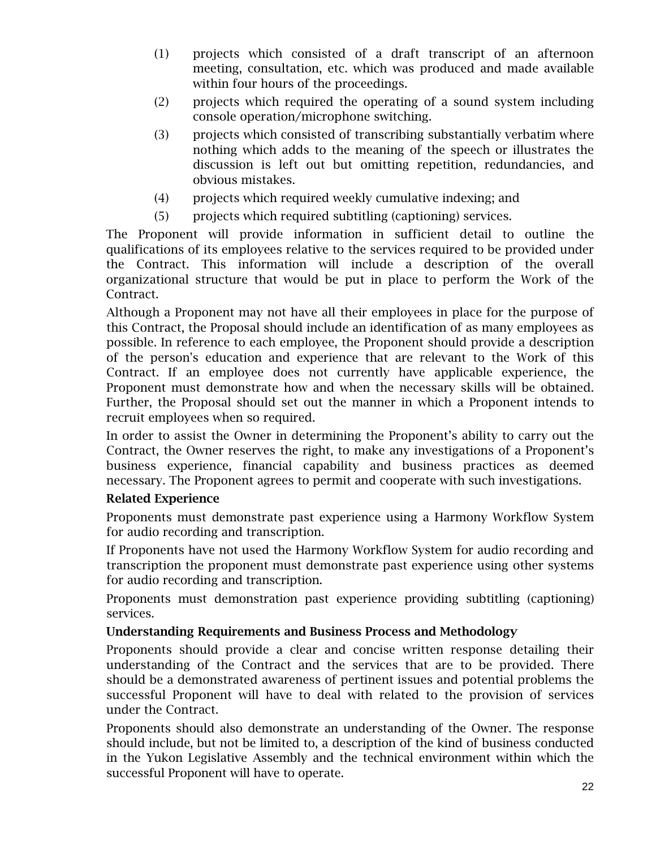- (1) projects which consisted of a draft transcript of an afternoon meeting, consultation, etc. which was produced and made available within four hours of the proceedings.
- (2) projects which required the operating of a sound system including console operation/microphone switching.
- (3) projects which consisted of transcribing substantially verbatim where nothing which adds to the meaning of the speech or illustrates the discussion is left out but omitting repetition, redundancies, and obvious mistakes.
- (4) projects which required weekly cumulative indexing; and
- (5) projects which required subtitling (captioning) services.

The Proponent will provide information in sufficient detail to outline the qualifications of its employees relative to the services required to be provided under the Contract. This information will include a description of the overall organizational structure that would be put in place to perform the Work of the Contract.

Although a Proponent may not have all their employees in place for the purpose of this Contract, the Proposal should include an identification of as many employees as possible. In reference to each employee, the Proponent should provide a description of the person's education and experience that are relevant to the Work of this Contract. If an employee does not currently have applicable experience, the Proponent must demonstrate how and when the necessary skills will be obtained. Further, the Proposal should set out the manner in which a Proponent intends to recruit employees when so required.

In order to assist the Owner in determining the Proponent's ability to carry out the Contract, the Owner reserves the right, to make any investigations of a Proponent's business experience, financial capability and business practices as deemed necessary. The Proponent agrees to permit and cooperate with such investigations.

#### Related Experience

Proponents must demonstrate past experience using a Harmony Workflow System for audio recording and transcription.

If Proponents have not used the Harmony Workflow System for audio recording and transcription the proponent must demonstrate past experience using other systems for audio recording and transcription.

Proponents must demonstration past experience providing subtitling (captioning) services.

#### Understanding Requirements and Business Process and Methodology

Proponents should provide a clear and concise written response detailing their understanding of the Contract and the services that are to be provided. There should be a demonstrated awareness of pertinent issues and potential problems the successful Proponent will have to deal with related to the provision of services under the Contract.

Proponents should also demonstrate an understanding of the Owner. The response should include, but not be limited to, a description of the kind of business conducted in the Yukon Legislative Assembly and the technical environment within which the successful Proponent will have to operate.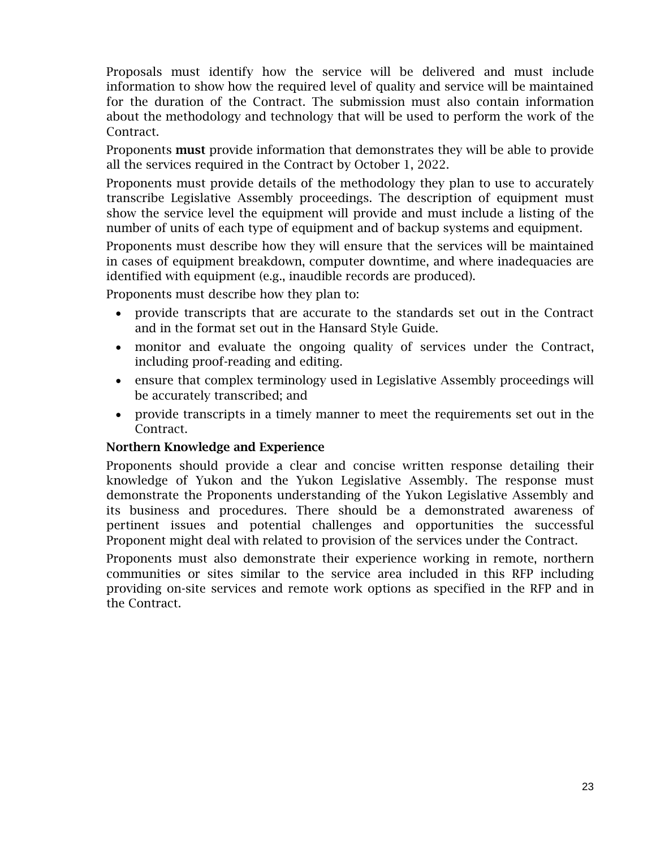Proposals must identify how the service will be delivered and must include information to show how the required level of quality and service will be maintained for the duration of the Contract. The submission must also contain information about the methodology and technology that will be used to perform the work of the Contract.

Proponents must provide information that demonstrates they will be able to provide all the services required in the Contract by October 1, 2022.

Proponents must provide details of the methodology they plan to use to accurately transcribe Legislative Assembly proceedings. The description of equipment must show the service level the equipment will provide and must include a listing of the number of units of each type of equipment and of backup systems and equipment.

Proponents must describe how they will ensure that the services will be maintained in cases of equipment breakdown, computer downtime, and where inadequacies are identified with equipment (e.g., inaudible records are produced).

Proponents must describe how they plan to:

- provide transcripts that are accurate to the standards set out in the Contract and in the format set out in the Hansard Style Guide.
- monitor and evaluate the ongoing quality of services under the Contract, including proof-reading and editing.
- ensure that complex terminology used in Legislative Assembly proceedings will be accurately transcribed; and
- provide transcripts in a timely manner to meet the requirements set out in the Contract.

#### Northern Knowledge and Experience

Proponents should provide a clear and concise written response detailing their knowledge of Yukon and the Yukon Legislative Assembly. The response must demonstrate the Proponents understanding of the Yukon Legislative Assembly and its business and procedures. There should be a demonstrated awareness of pertinent issues and potential challenges and opportunities the successful Proponent might deal with related to provision of the services under the Contract.

Proponents must also demonstrate their experience working in remote, northern communities or sites similar to the service area included in this RFP including providing on-site services and remote work options as specified in the RFP and in the Contract.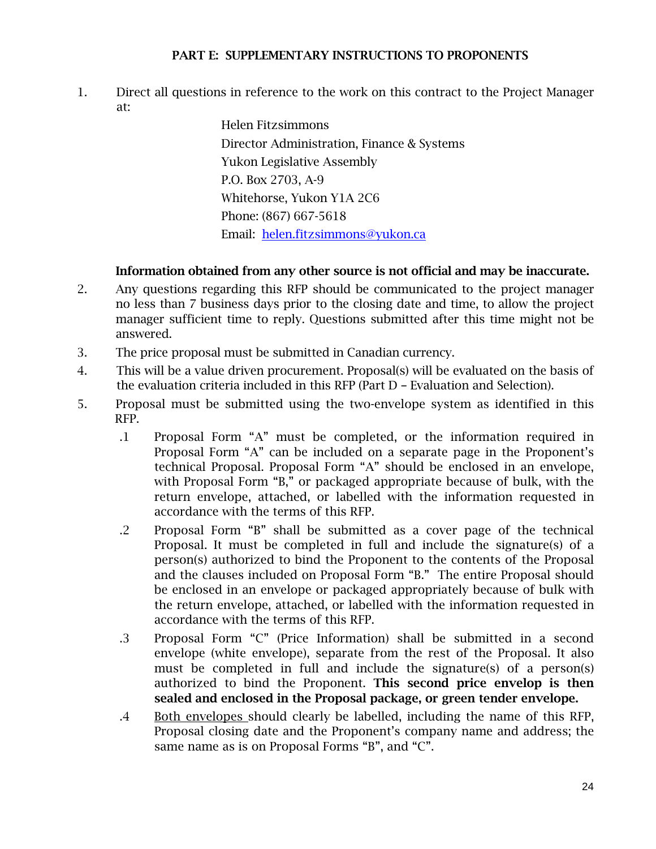#### PART E: SUPPLEMENTARY INSTRUCTIONS TO PROPONENTS

1. Direct all questions in reference to the work on this contract to the Project Manager at:

> Helen Fitzsimmons Director Administration, Finance & Systems Yukon Legislative Assembly P.O. Box 2703, A-9 Whitehorse, Yukon Y1A 2C6 Phone: (867) 667-5618 Email: [helen.fitzsimmons@yukon.ca](mailto:helen.fitzsimmons@yukon.ca)

# Information obtained from any other source is not official and may be inaccurate.

- 2. Any questions regarding this RFP should be communicated to the project manager no less than 7 business days prior to the closing date and time, to allow the project manager sufficient time to reply. Questions submitted after this time might not be answered.
- 3. The price proposal must be submitted in Canadian currency.
- 4. This will be a value driven procurement. Proposal(s) will be evaluated on the basis of the evaluation criteria included in this RFP (Part D – Evaluation and Selection).
- 5. Proposal must be submitted using the two-envelope system as identified in this RFP.
	- .1 Proposal Form "A" must be completed, or the information required in Proposal Form "A" can be included on a separate page in the Proponent's technical Proposal. Proposal Form "A" should be enclosed in an envelope, with Proposal Form "B," or packaged appropriate because of bulk, with the return envelope, attached, or labelled with the information requested in accordance with the terms of this RFP.
	- .2 Proposal Form "B" shall be submitted as a cover page of the technical Proposal. It must be completed in full and include the signature(s) of a person(s) authorized to bind the Proponent to the contents of the Proposal and the clauses included on Proposal Form "B." The entire Proposal should be enclosed in an envelope or packaged appropriately because of bulk with the return envelope, attached, or labelled with the information requested in accordance with the terms of this RFP.
	- .3 Proposal Form "C" (Price Information) shall be submitted in a second envelope (white envelope), separate from the rest of the Proposal. It also must be completed in full and include the signature(s) of a person(s) authorized to bind the Proponent. This second price envelop is then sealed and enclosed in the Proposal package, or green tender envelope.
	- .4 Both envelopes should clearly be labelled, including the name of this RFP, Proposal closing date and the Proponent's company name and address; the same name as is on Proposal Forms "B", and "C".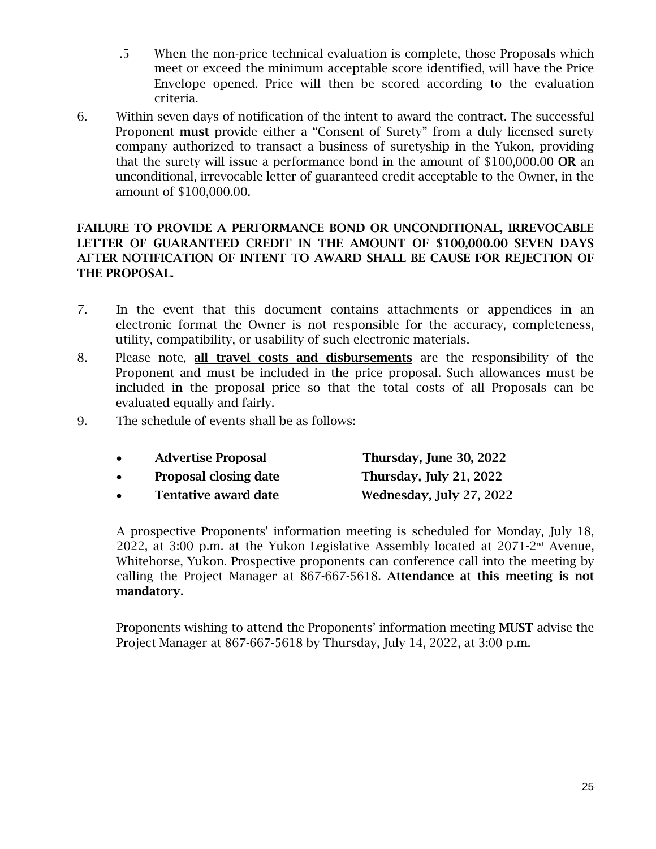- .5 When the non-price technical evaluation is complete, those Proposals which meet or exceed the minimum acceptable score identified, will have the Price Envelope opened. Price will then be scored according to the evaluation criteria.
- 6. Within seven days of notification of the intent to award the contract. The successful Proponent must provide either a "Consent of Surety" from a duly licensed surety company authorized to transact a business of suretyship in the Yukon, providing that the surety will issue a performance bond in the amount of \$100,000.00 OR an unconditional, irrevocable letter of guaranteed credit acceptable to the Owner, in the amount of \$100,000.00.

# FAILURE TO PROVIDE A PERFORMANCE BOND OR UNCONDITIONAL, IRREVOCABLE LETTER OF GUARANTEED CREDIT IN THE AMOUNT OF \$100,000.00 SEVEN DAYS AFTER NOTIFICATION OF INTENT TO AWARD SHALL BE CAUSE FOR REJECTION OF THE PROPOSAL.

- 7. In the event that this document contains attachments or appendices in an electronic format the Owner is not responsible for the accuracy, completeness, utility, compatibility, or usability of such electronic materials.
- 8. Please note, all travel costs and disbursements are the responsibility of the Proponent and must be included in the price proposal. Such allowances must be included in the proposal price so that the total costs of all Proposals can be evaluated equally and fairly.
- 9. The schedule of events shall be as follows:

|           | <b>Advertise Proposal</b>    | Thursday, June 30, 2022        |
|-----------|------------------------------|--------------------------------|
|           | <b>Proposal closing date</b> | <b>Thursday, July 21, 2022</b> |
| $\bullet$ | <b>Tentative award date</b>  | Wednesday, July 27, 2022       |

A prospective Proponents' information meeting is scheduled for Monday, July 18, 2022, at 3:00 p.m. at the Yukon Legislative Assembly located at  $2071$ -2<sup>nd</sup> Avenue, Whitehorse, Yukon. Prospective proponents can conference call into the meeting by calling the Project Manager at 867-667-5618. Attendance at this meeting is not mandatory.

Proponents wishing to attend the Proponents' information meeting MUST advise the Project Manager at 867-667-5618 by Thursday, July 14, 2022, at 3:00 p.m.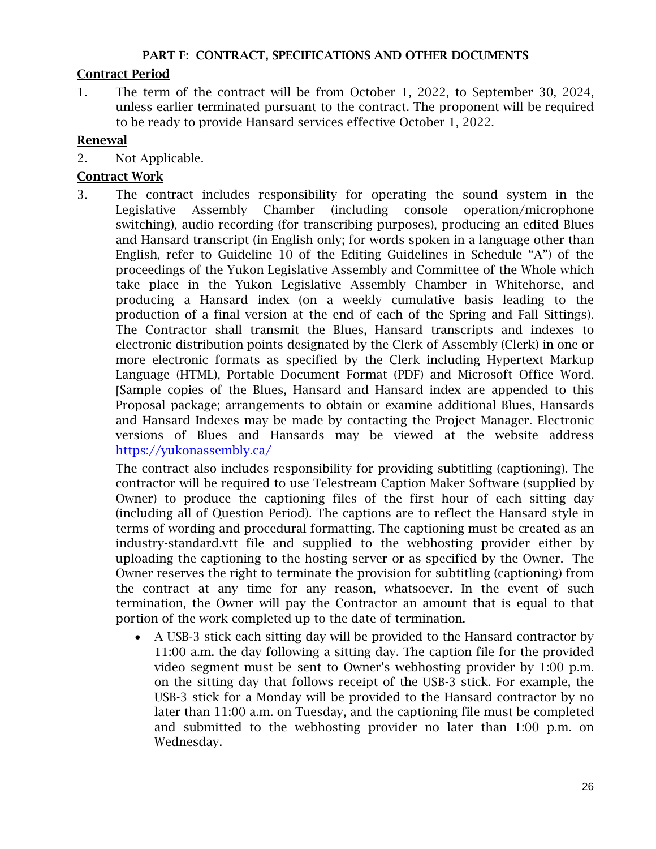#### PART F: CONTRACT, SPECIFICATIONS AND OTHER DOCUMENTS

# Contract Period

1. The term of the contract will be from October 1, 2022, to September 30, 2024, unless earlier terminated pursuant to the contract. The proponent will be required to be ready to provide Hansard services effective October 1, 2022.

# Renewal

2. Not Applicable.

# Contract Work

3. The contract includes responsibility for operating the sound system in the Legislative Assembly Chamber (including console operation/microphone switching), audio recording (for transcribing purposes), producing an edited Blues and Hansard transcript (in English only; for words spoken in a language other than English, refer to Guideline 10 of the Editing Guidelines in Schedule "A") of the proceedings of the Yukon Legislative Assembly and Committee of the Whole which take place in the Yukon Legislative Assembly Chamber in Whitehorse, and producing a Hansard index (on a weekly cumulative basis leading to the production of a final version at the end of each of the Spring and Fall Sittings). The Contractor shall transmit the Blues, Hansard transcripts and indexes to electronic distribution points designated by the Clerk of Assembly (Clerk) in one or more electronic formats as specified by the Clerk including Hypertext Markup Language (HTML), Portable Document Format (PDF) and Microsoft Office Word. Sample copies of the Blues, Hansard and Hansard index are appended to this Proposal package; arrangements to obtain or examine additional Blues, Hansards and Hansard Indexes may be made by contacting the Project Manager. Electronic versions of Blues and Hansards may be viewed at the website address <https://yukonassembly.ca/>

The contract also includes responsibility for providing subtitling (captioning). The contractor will be required to use Telestream Caption Maker Software (supplied by Owner) to produce the captioning files of the first hour of each sitting day (including all of Question Period). The captions are to reflect the Hansard style in terms of wording and procedural formatting. The captioning must be created as an industry-standard.vtt file and supplied to the webhosting provider either by uploading the captioning to the hosting server or as specified by the Owner. The Owner reserves the right to terminate the provision for subtitling (captioning) from the contract at any time for any reason, whatsoever. In the event of such termination, the Owner will pay the Contractor an amount that is equal to that portion of the work completed up to the date of termination.

• A USB-3 stick each sitting day will be provided to the Hansard contractor by 11:00 a.m. the day following a sitting day. The caption file for the provided video segment must be sent to Owner's webhosting provider by 1:00 p.m. on the sitting day that follows receipt of the USB-3 stick. For example, the USB-3 stick for a Monday will be provided to the Hansard contractor by no later than 11:00 a.m. on Tuesday, and the captioning file must be completed and submitted to the webhosting provider no later than 1:00 p.m. on Wednesday.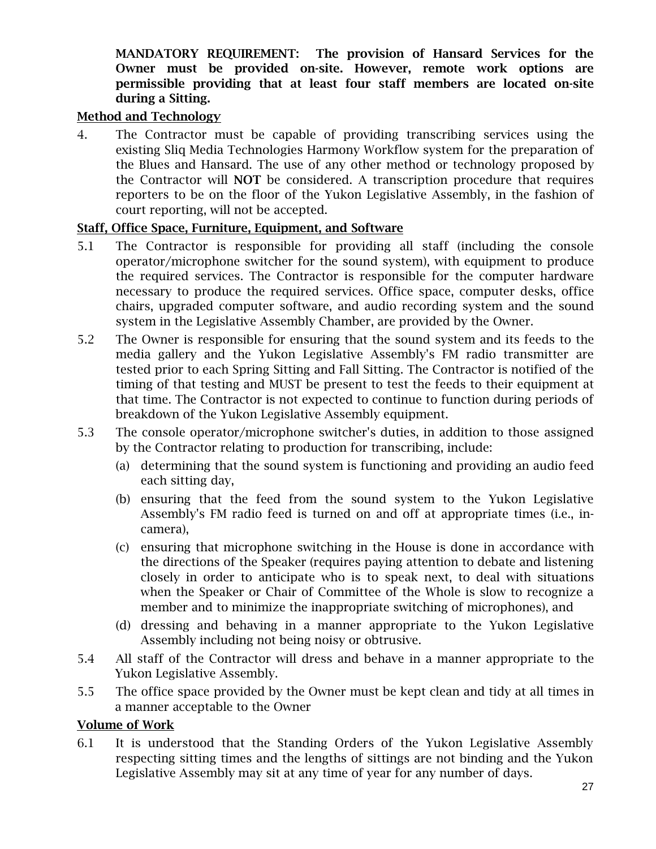## MANDATORY REQUIREMENT: The provision of Hansard Services for the Owner must be provided on-site. However, remote work options are permissible providing that at least four staff members are located on-site during a Sitting.

#### Method and Technology

4. The Contractor must be capable of providing transcribing services using the existing Sliq Media Technologies Harmony Workflow system for the preparation of the Blues and Hansard. The use of any other method or technology proposed by the Contractor will NOT be considered. A transcription procedure that requires reporters to be on the floor of the Yukon Legislative Assembly, in the fashion of court reporting, will not be accepted.

#### Staff, Office Space, Furniture, Equipment, and Software

- 5.1 The Contractor is responsible for providing all staff (including the console operator/microphone switcher for the sound system), with equipment to produce the required services. The Contractor is responsible for the computer hardware necessary to produce the required services. Office space, computer desks, office chairs, upgraded computer software, and audio recording system and the sound system in the Legislative Assembly Chamber, are provided by the Owner.
- 5.2 The Owner is responsible for ensuring that the sound system and its feeds to the media gallery and the Yukon Legislative Assembly's FM radio transmitter are tested prior to each Spring Sitting and Fall Sitting. The Contractor is notified of the timing of that testing and MUST be present to test the feeds to their equipment at that time. The Contractor is not expected to continue to function during periods of breakdown of the Yukon Legislative Assembly equipment.
- 5.3 The console operator/microphone switcher's duties, in addition to those assigned by the Contractor relating to production for transcribing, include:
	- (a) determining that the sound system is functioning and providing an audio feed each sitting day,
	- (b) ensuring that the feed from the sound system to the Yukon Legislative Assembly's FM radio feed is turned on and off at appropriate times (i.e., incamera),
	- (c) ensuring that microphone switching in the House is done in accordance with the directions of the Speaker (requires paying attention to debate and listening closely in order to anticipate who is to speak next, to deal with situations when the Speaker or Chair of Committee of the Whole is slow to recognize a member and to minimize the inappropriate switching of microphones), and
	- (d) dressing and behaving in a manner appropriate to the Yukon Legislative Assembly including not being noisy or obtrusive.
- 5.4 All staff of the Contractor will dress and behave in a manner appropriate to the Yukon Legislative Assembly.
- 5.5 The office space provided by the Owner must be kept clean and tidy at all times in a manner acceptable to the Owner

#### Volume of Work

6.1 It is understood that the Standing Orders of the Yukon Legislative Assembly respecting sitting times and the lengths of sittings are not binding and the Yukon Legislative Assembly may sit at any time of year for any number of days.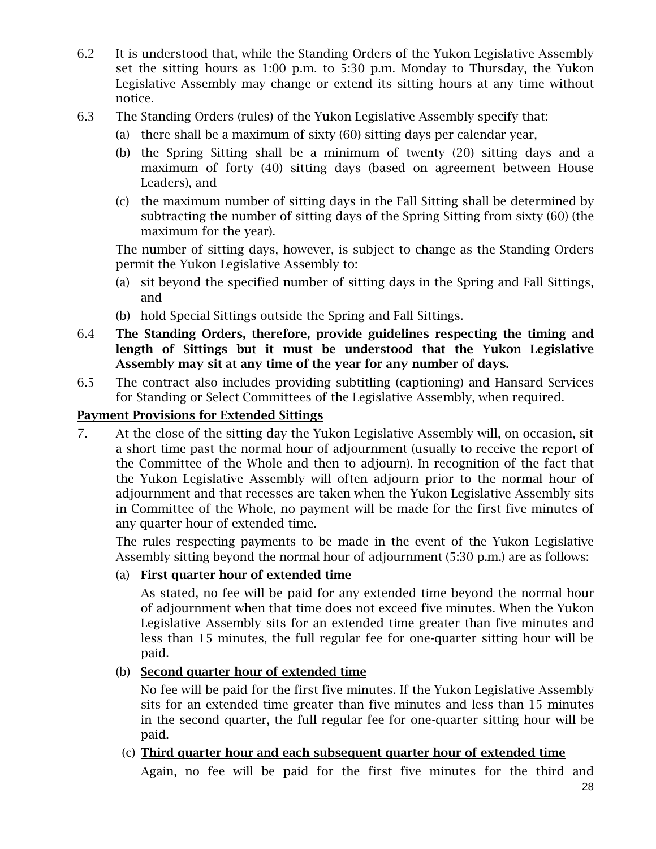- 6.2 It is understood that, while the Standing Orders of the Yukon Legislative Assembly set the sitting hours as 1:00 p.m. to 5:30 p.m. Monday to Thursday, the Yukon Legislative Assembly may change or extend its sitting hours at any time without notice.
- 6.3 The Standing Orders (rules) of the Yukon Legislative Assembly specify that:
	- (a) there shall be a maximum of sixty (60) sitting days per calendar year,
	- (b) the Spring Sitting shall be a minimum of twenty (20) sitting days and a maximum of forty (40) sitting days (based on agreement between House Leaders), and
	- (c) the maximum number of sitting days in the Fall Sitting shall be determined by subtracting the number of sitting days of the Spring Sitting from sixty (60) (the maximum for the year).

The number of sitting days, however, is subject to change as the Standing Orders permit the Yukon Legislative Assembly to:

- (a) sit beyond the specified number of sitting days in the Spring and Fall Sittings, and
- (b) hold Special Sittings outside the Spring and Fall Sittings.
- 6.4 The Standing Orders, therefore, provide guidelines respecting the timing and length of Sittings but it must be understood that the Yukon Legislative Assembly may sit at any time of the year for any number of days.
- 6.5 The contract also includes providing subtitling (captioning) and Hansard Services for Standing or Select Committees of the Legislative Assembly, when required.

# Payment Provisions for Extended Sittings

7. At the close of the sitting day the Yukon Legislative Assembly will, on occasion, sit a short time past the normal hour of adjournment (usually to receive the report of the Committee of the Whole and then to adjourn). In recognition of the fact that the Yukon Legislative Assembly will often adjourn prior to the normal hour of adjournment and that recesses are taken when the Yukon Legislative Assembly sits in Committee of the Whole, no payment will be made for the first five minutes of any quarter hour of extended time.

The rules respecting payments to be made in the event of the Yukon Legislative Assembly sitting beyond the normal hour of adjournment (5:30 p.m.) are as follows:

#### (a) First quarter hour of extended time

As stated, no fee will be paid for any extended time beyond the normal hour of adjournment when that time does not exceed five minutes. When the Yukon Legislative Assembly sits for an extended time greater than five minutes and less than 15 minutes, the full regular fee for one-quarter sitting hour will be paid.

#### (b) Second quarter hour of extended time

No fee will be paid for the first five minutes. If the Yukon Legislative Assembly sits for an extended time greater than five minutes and less than 15 minutes in the second quarter, the full regular fee for one-quarter sitting hour will be paid.

# (c) Third quarter hour and each subsequent quarter hour of extended time

Again, no fee will be paid for the first five minutes for the third and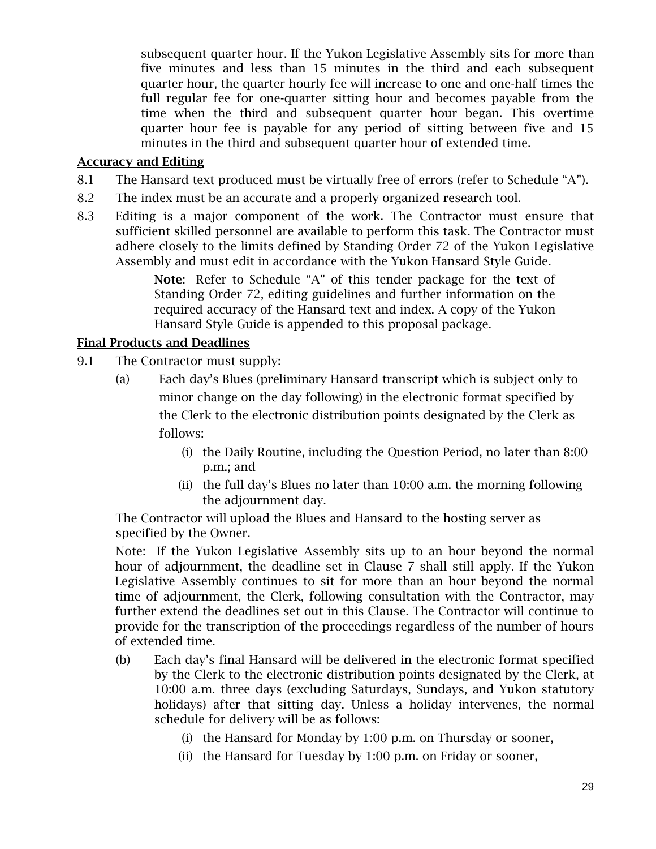subsequent quarter hour. If the Yukon Legislative Assembly sits for more than five minutes and less than 15 minutes in the third and each subsequent quarter hour, the quarter hourly fee will increase to one and one-half times the full regular fee for one-quarter sitting hour and becomes payable from the time when the third and subsequent quarter hour began. This overtime quarter hour fee is payable for any period of sitting between five and 15 minutes in the third and subsequent quarter hour of extended time.

#### Accuracy and Editing

- 8.1 The Hansard text produced must be virtually free of errors (refer to Schedule "A").
- 8.2 The index must be an accurate and a properly organized research tool.
- 8.3 Editing is a major component of the work. The Contractor must ensure that sufficient skilled personnel are available to perform this task. The Contractor must adhere closely to the limits defined by Standing Order 72 of the Yukon Legislative Assembly and must edit in accordance with the Yukon Hansard Style Guide.

Note: Refer to Schedule "A" of this tender package for the text of Standing Order 72, editing guidelines and further information on the required accuracy of the Hansard text and index. A copy of the Yukon Hansard Style Guide is appended to this proposal package.

# Final Products and Deadlines

- 9.1 The Contractor must supply:
	- (a) Each day's Blues (preliminary Hansard transcript which is subject only to minor change on the day following) in the electronic format specified by the Clerk to the electronic distribution points designated by the Clerk as follows:
		- (i) the Daily Routine, including the Question Period, no later than 8:00 p.m.; and
		- (ii) the full day's Blues no later than 10:00 a.m. the morning following the adjournment day.

The Contractor will upload the Blues and Hansard to the hosting server as specified by the Owner.

Note: If the Yukon Legislative Assembly sits up to an hour beyond the normal hour of adjournment, the deadline set in Clause 7 shall still apply. If the Yukon Legislative Assembly continues to sit for more than an hour beyond the normal time of adjournment, the Clerk, following consultation with the Contractor, may further extend the deadlines set out in this Clause. The Contractor will continue to provide for the transcription of the proceedings regardless of the number of hours of extended time.

- (b) Each day's final Hansard will be delivered in the electronic format specified by the Clerk to the electronic distribution points designated by the Clerk, at 10:00 a.m. three days (excluding Saturdays, Sundays, and Yukon statutory holidays) after that sitting day. Unless a holiday intervenes, the normal schedule for delivery will be as follows:
	- (i) the Hansard for Monday by 1:00 p.m. on Thursday or sooner,
	- (ii) the Hansard for Tuesday by 1:00 p.m. on Friday or sooner,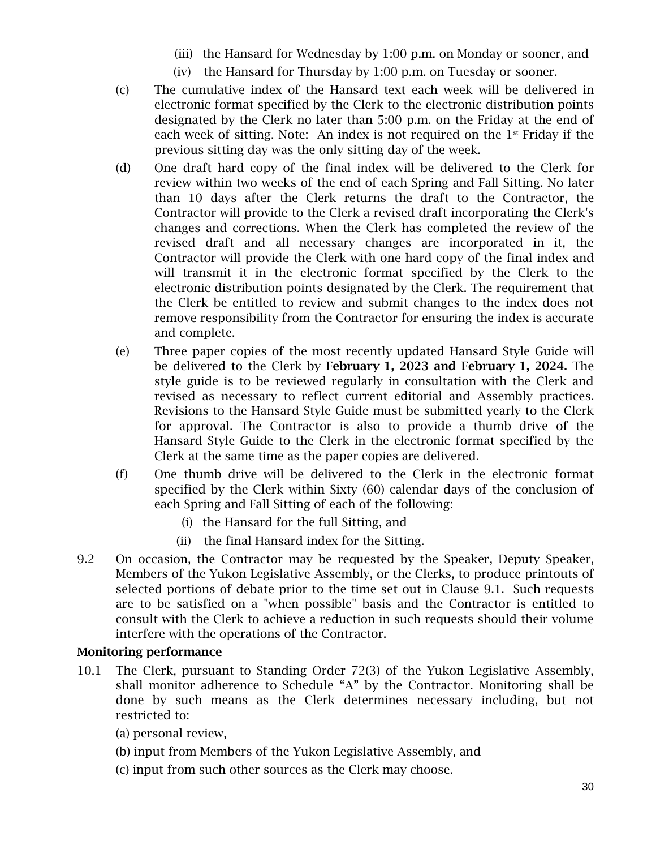- (iii) the Hansard for Wednesday by 1:00 p.m. on Monday or sooner, and
- (iv) the Hansard for Thursday by 1:00 p.m. on Tuesday or sooner.
- (c) The cumulative index of the Hansard text each week will be delivered in electronic format specified by the Clerk to the electronic distribution points designated by the Clerk no later than 5:00 p.m. on the Friday at the end of each week of sitting. Note: An index is not required on the  $1<sup>st</sup>$  Friday if the previous sitting day was the only sitting day of the week.
- (d) One draft hard copy of the final index will be delivered to the Clerk for review within two weeks of the end of each Spring and Fall Sitting. No later than 10 days after the Clerk returns the draft to the Contractor, the Contractor will provide to the Clerk a revised draft incorporating the Clerk's changes and corrections. When the Clerk has completed the review of the revised draft and all necessary changes are incorporated in it, the Contractor will provide the Clerk with one hard copy of the final index and will transmit it in the electronic format specified by the Clerk to the electronic distribution points designated by the Clerk. The requirement that the Clerk be entitled to review and submit changes to the index does not remove responsibility from the Contractor for ensuring the index is accurate and complete.
- (e) Three paper copies of the most recently updated Hansard Style Guide will be delivered to the Clerk by February 1, 2023 and February 1, 2024. The style guide is to be reviewed regularly in consultation with the Clerk and revised as necessary to reflect current editorial and Assembly practices. Revisions to the Hansard Style Guide must be submitted yearly to the Clerk for approval. The Contractor is also to provide a thumb drive of the Hansard Style Guide to the Clerk in the electronic format specified by the Clerk at the same time as the paper copies are delivered.
- (f) One thumb drive will be delivered to the Clerk in the electronic format specified by the Clerk within Sixty (60) calendar days of the conclusion of each Spring and Fall Sitting of each of the following:
	- (i) the Hansard for the full Sitting, and
	- (ii) the final Hansard index for the Sitting.
- 9.2 On occasion, the Contractor may be requested by the Speaker, Deputy Speaker, Members of the Yukon Legislative Assembly, or the Clerks, to produce printouts of selected portions of debate prior to the time set out in Clause 9.1. Such requests are to be satisfied on a "when possible" basis and the Contractor is entitled to consult with the Clerk to achieve a reduction in such requests should their volume interfere with the operations of the Contractor.

# Monitoring performance

- 10.1 The Clerk, pursuant to Standing Order 72(3) of the Yukon Legislative Assembly, shall monitor adherence to Schedule "A" by the Contractor. Monitoring shall be done by such means as the Clerk determines necessary including, but not restricted to:
	- (a) personal review,
	- (b) input from Members of the Yukon Legislative Assembly, and
	- (c) input from such other sources as the Clerk may choose.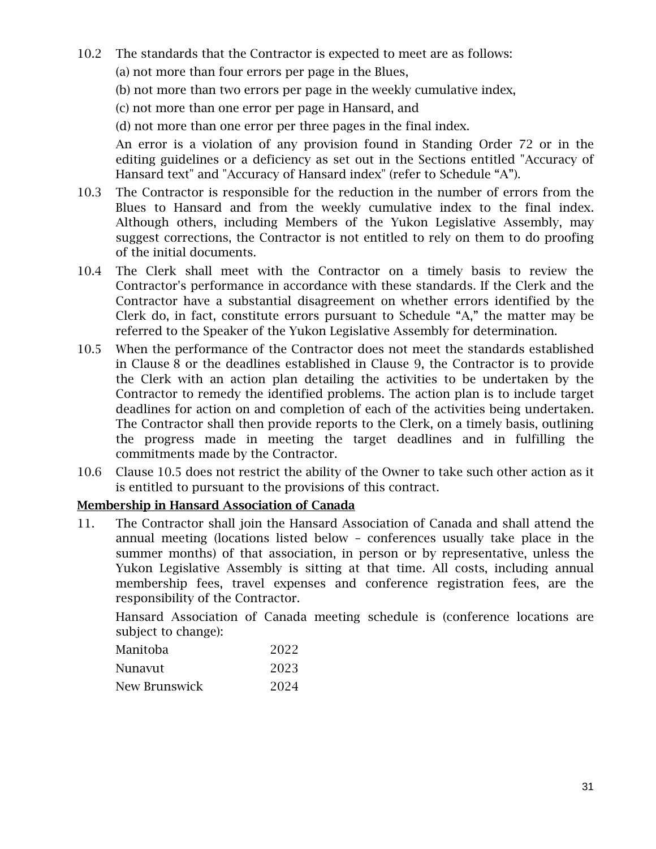10.2 The standards that the Contractor is expected to meet are as follows:

(a) not more than four errors per page in the Blues,

(b) not more than two errors per page in the weekly cumulative index,

(c) not more than one error per page in Hansard, and

(d) not more than one error per three pages in the final index.

An error is a violation of any provision found in Standing Order 72 or in the editing guidelines or a deficiency as set out in the Sections entitled "Accuracy of Hansard text" and "Accuracy of Hansard index" (refer to Schedule "A").

- 10.3 The Contractor is responsible for the reduction in the number of errors from the Blues to Hansard and from the weekly cumulative index to the final index. Although others, including Members of the Yukon Legislative Assembly, may suggest corrections, the Contractor is not entitled to rely on them to do proofing of the initial documents.
- 10.4 The Clerk shall meet with the Contractor on a timely basis to review the Contractor's performance in accordance with these standards. If the Clerk and the Contractor have a substantial disagreement on whether errors identified by the Clerk do, in fact, constitute errors pursuant to Schedule "A," the matter may be referred to the Speaker of the Yukon Legislative Assembly for determination.
- 10.5 When the performance of the Contractor does not meet the standards established in Clause 8 or the deadlines established in Clause 9, the Contractor is to provide the Clerk with an action plan detailing the activities to be undertaken by the Contractor to remedy the identified problems. The action plan is to include target deadlines for action on and completion of each of the activities being undertaken. The Contractor shall then provide reports to the Clerk, on a timely basis, outlining the progress made in meeting the target deadlines and in fulfilling the commitments made by the Contractor.
- 10.6 Clause 10.5 does not restrict the ability of the Owner to take such other action as it is entitled to pursuant to the provisions of this contract.

#### Membership in Hansard Association of Canada

11. The Contractor shall join the Hansard Association of Canada and shall attend the annual meeting (locations listed below – conferences usually take place in the summer months) of that association, in person or by representative, unless the Yukon Legislative Assembly is sitting at that time. All costs, including annual membership fees, travel expenses and conference registration fees, are the responsibility of the Contractor.

Hansard Association of Canada meeting schedule is (conference locations are subject to change):

| 2022 |
|------|
| 2023 |
| 2024 |
|      |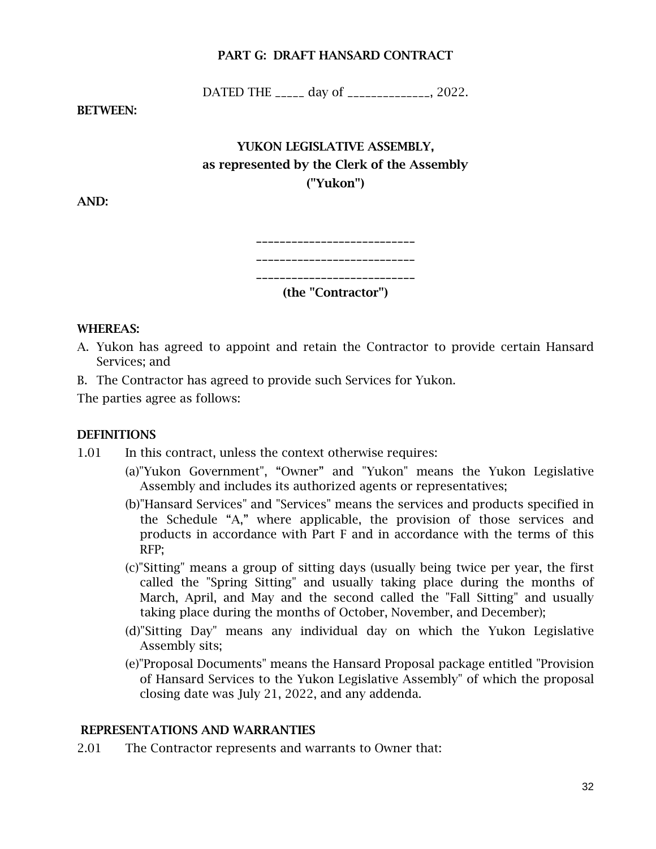#### PART G: DRAFT HANSARD CONTRACT

DATED THE \_\_\_\_\_\_ day of \_\_\_\_\_\_\_\_\_\_\_\_\_\_, 2022.

BETWEEN:

# YUKON LEGISLATIVE ASSEMBLY, as represented by the Clerk of the Assembly ("Yukon")

AND:

| (the "Contractor") |
|--------------------|

#### WHEREAS:

- A. Yukon has agreed to appoint and retain the Contractor to provide certain Hansard Services; and
- B. The Contractor has agreed to provide such Services for Yukon.

The parties agree as follows:

#### **DEFINITIONS**

- 1.01 In this contract, unless the context otherwise requires:
	- (a)"Yukon Government", "Owner" and "Yukon" means the Yukon Legislative Assembly and includes its authorized agents or representatives;
		- (b)"Hansard Services" and "Services" means the services and products specified in the Schedule "A," where applicable, the provision of those services and products in accordance with Part F and in accordance with the terms of this RFP;
		- (c)"Sitting" means a group of sitting days (usually being twice per year, the first called the "Spring Sitting" and usually taking place during the months of March, April, and May and the second called the "Fall Sitting" and usually taking place during the months of October, November, and December);
		- (d)"Sitting Day" means any individual day on which the Yukon Legislative Assembly sits;
		- (e)"Proposal Documents" means the Hansard Proposal package entitled "Provision of Hansard Services to the Yukon Legislative Assembly" of which the proposal closing date was July 21, 2022, and any addenda.

#### REPRESENTATIONS AND WARRANTIES

2.01 The Contractor represents and warrants to Owner that: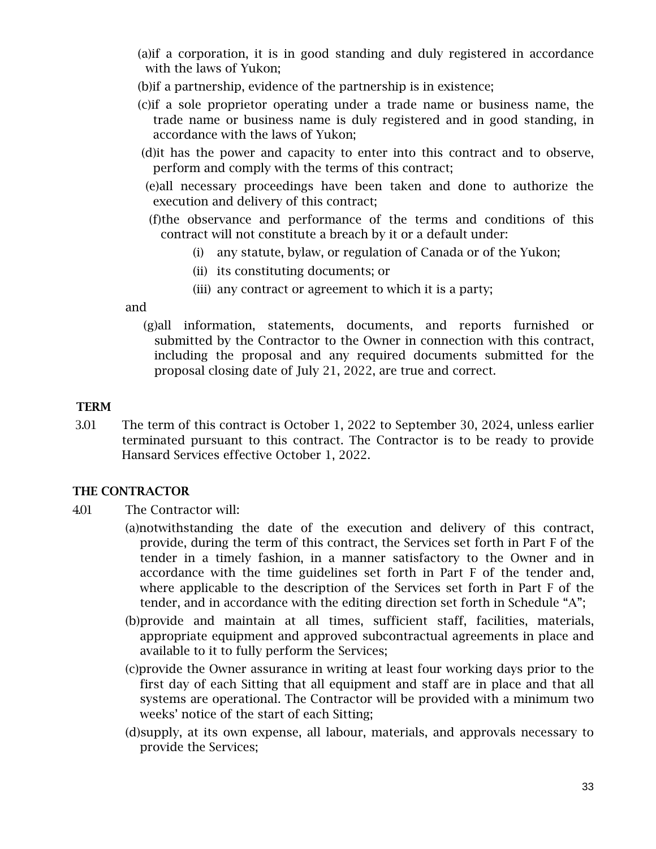- (a)if a corporation, it is in good standing and duly registered in accordance with the laws of Yukon;
- (b)if a partnership, evidence of the partnership is in existence;
- (c)if a sole proprietor operating under a trade name or business name, the trade name or business name is duly registered and in good standing, in accordance with the laws of Yukon;
- (d)it has the power and capacity to enter into this contract and to observe, perform and comply with the terms of this contract;
- (e)all necessary proceedings have been taken and done to authorize the execution and delivery of this contract;
- (f)the observance and performance of the terms and conditions of this contract will not constitute a breach by it or a default under:
	- (i) any statute, bylaw, or regulation of Canada or of the Yukon;
	- (ii) its constituting documents; or
	- (iii) any contract or agreement to which it is a party;

and

(g)all information, statements, documents, and reports furnished or submitted by the Contractor to the Owner in connection with this contract, including the proposal and any required documents submitted for the proposal closing date of July 21, 2022, are true and correct.

# TERM

 3.01 The term of this contract is October 1, 2022 to September 30, 2024, unless earlier terminated pursuant to this contract. The Contractor is to be ready to provide Hansard Services effective October 1, 2022.

#### THE CONTRACTOR

- 4.01 The Contractor will:
	- (a)notwithstanding the date of the execution and delivery of this contract, provide, during the term of this contract, the Services set forth in Part F of the tender in a timely fashion, in a manner satisfactory to the Owner and in accordance with the time guidelines set forth in Part F of the tender and, where applicable to the description of the Services set forth in Part F of the tender, and in accordance with the editing direction set forth in Schedule "A";
	- (b)provide and maintain at all times, sufficient staff, facilities, materials, appropriate equipment and approved subcontractual agreements in place and available to it to fully perform the Services;
	- (c)provide the Owner assurance in writing at least four working days prior to the first day of each Sitting that all equipment and staff are in place and that all systems are operational. The Contractor will be provided with a minimum two weeks' notice of the start of each Sitting;
	- (d)supply, at its own expense, all labour, materials, and approvals necessary to provide the Services;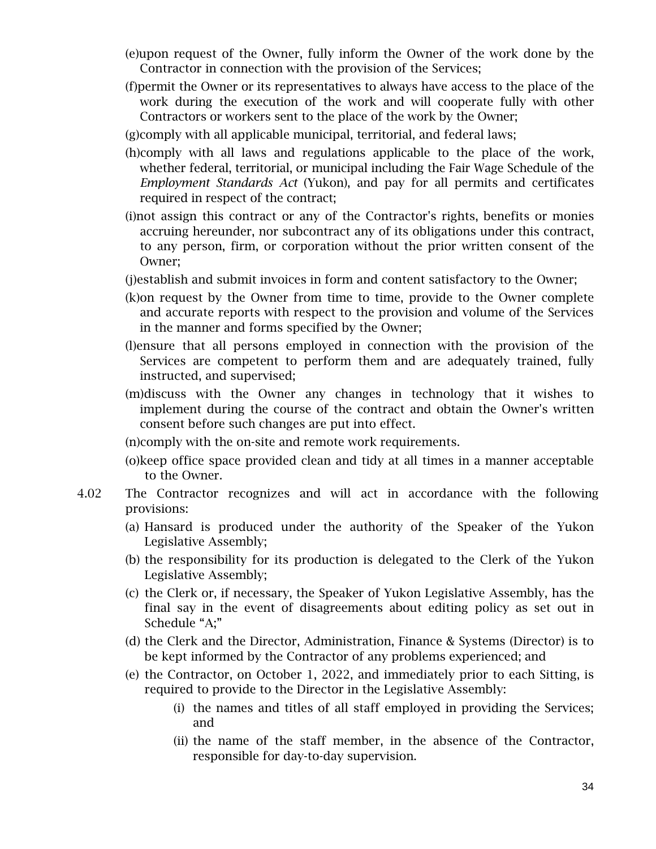- (e)upon request of the Owner, fully inform the Owner of the work done by the Contractor in connection with the provision of the Services;
- (f)permit the Owner or its representatives to always have access to the place of the work during the execution of the work and will cooperate fully with other Contractors or workers sent to the place of the work by the Owner;
- (g)comply with all applicable municipal, territorial, and federal laws;
- (h)comply with all laws and regulations applicable to the place of the work, whether federal, territorial, or municipal including the Fair Wage Schedule of the *Employment Standards Act* (Yukon), and pay for all permits and certificates required in respect of the contract;
- (i)not assign this contract or any of the Contractor's rights, benefits or monies accruing hereunder, nor subcontract any of its obligations under this contract, to any person, firm, or corporation without the prior written consent of the Owner;
- (j)establish and submit invoices in form and content satisfactory to the Owner;
- (k)on request by the Owner from time to time, provide to the Owner complete and accurate reports with respect to the provision and volume of the Services in the manner and forms specified by the Owner;
- (l)ensure that all persons employed in connection with the provision of the Services are competent to perform them and are adequately trained, fully instructed, and supervised;
- (m)discuss with the Owner any changes in technology that it wishes to implement during the course of the contract and obtain the Owner's written consent before such changes are put into effect.
- (n)comply with the on-site and remote work requirements.
- (o)keep office space provided clean and tidy at all times in a manner acceptable to the Owner.
- 4.02 The Contractor recognizes and will act in accordance with the following provisions:
	- (a) Hansard is produced under the authority of the Speaker of the Yukon Legislative Assembly;
	- (b) the responsibility for its production is delegated to the Clerk of the Yukon Legislative Assembly;
	- (c) the Clerk or, if necessary, the Speaker of Yukon Legislative Assembly, has the final say in the event of disagreements about editing policy as set out in Schedule "A;"
	- (d) the Clerk and the Director, Administration, Finance & Systems (Director) is to be kept informed by the Contractor of any problems experienced; and
	- (e) the Contractor, on October 1, 2022, and immediately prior to each Sitting, is required to provide to the Director in the Legislative Assembly:
		- (i) the names and titles of all staff employed in providing the Services; and
		- (ii) the name of the staff member, in the absence of the Contractor, responsible for day-to-day supervision.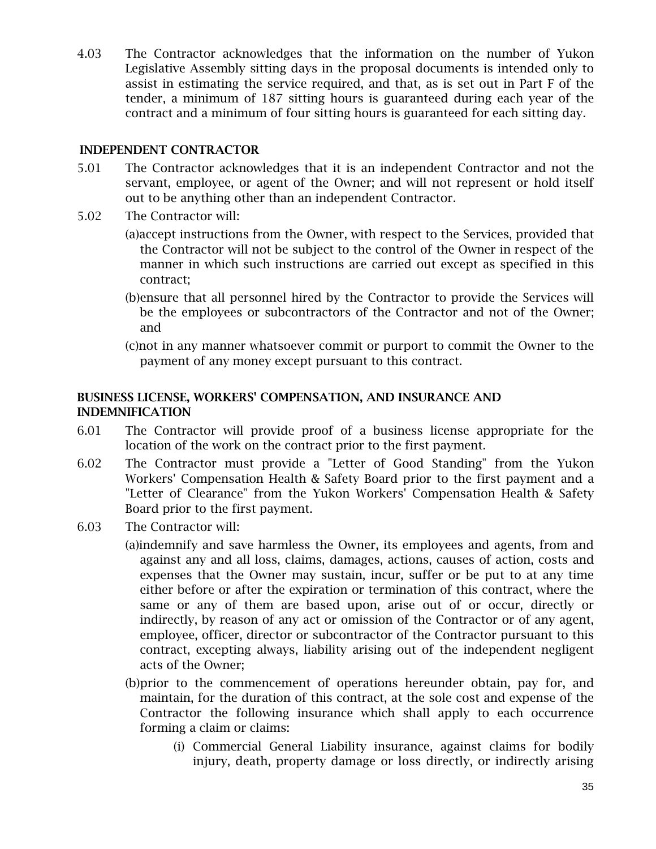4.03 The Contractor acknowledges that the information on the number of Yukon Legislative Assembly sitting days in the proposal documents is intended only to assist in estimating the service required, and that, as is set out in Part F of the tender, a minimum of 187 sitting hours is guaranteed during each year of the contract and a minimum of four sitting hours is guaranteed for each sitting day.

#### INDEPENDENT CONTRACTOR

- 5.01 The Contractor acknowledges that it is an independent Contractor and not the servant, employee, or agent of the Owner; and will not represent or hold itself out to be anything other than an independent Contractor.
- 5.02 The Contractor will:
	- (a)accept instructions from the Owner, with respect to the Services, provided that the Contractor will not be subject to the control of the Owner in respect of the manner in which such instructions are carried out except as specified in this contract;
	- (b)ensure that all personnel hired by the Contractor to provide the Services will be the employees or subcontractors of the Contractor and not of the Owner; and
	- (c)not in any manner whatsoever commit or purport to commit the Owner to the payment of any money except pursuant to this contract.

#### BUSINESS LICENSE, WORKERS' COMPENSATION, AND INSURANCE AND INDEMNIFICATION

- 6.01 The Contractor will provide proof of a business license appropriate for the location of the work on the contract prior to the first payment.
- 6.02 The Contractor must provide a "Letter of Good Standing" from the Yukon Workers' Compensation Health & Safety Board prior to the first payment and a "Letter of Clearance" from the Yukon Workers' Compensation Health & Safety Board prior to the first payment.
- 6.03 The Contractor will:
	- (a)indemnify and save harmless the Owner, its employees and agents, from and against any and all loss, claims, damages, actions, causes of action, costs and expenses that the Owner may sustain, incur, suffer or be put to at any time either before or after the expiration or termination of this contract, where the same or any of them are based upon, arise out of or occur, directly or indirectly, by reason of any act or omission of the Contractor or of any agent, employee, officer, director or subcontractor of the Contractor pursuant to this contract, excepting always, liability arising out of the independent negligent acts of the Owner;
	- (b)prior to the commencement of operations hereunder obtain, pay for, and maintain, for the duration of this contract, at the sole cost and expense of the Contractor the following insurance which shall apply to each occurrence forming a claim or claims:
		- (i) Commercial General Liability insurance, against claims for bodily injury, death, property damage or loss directly, or indirectly arising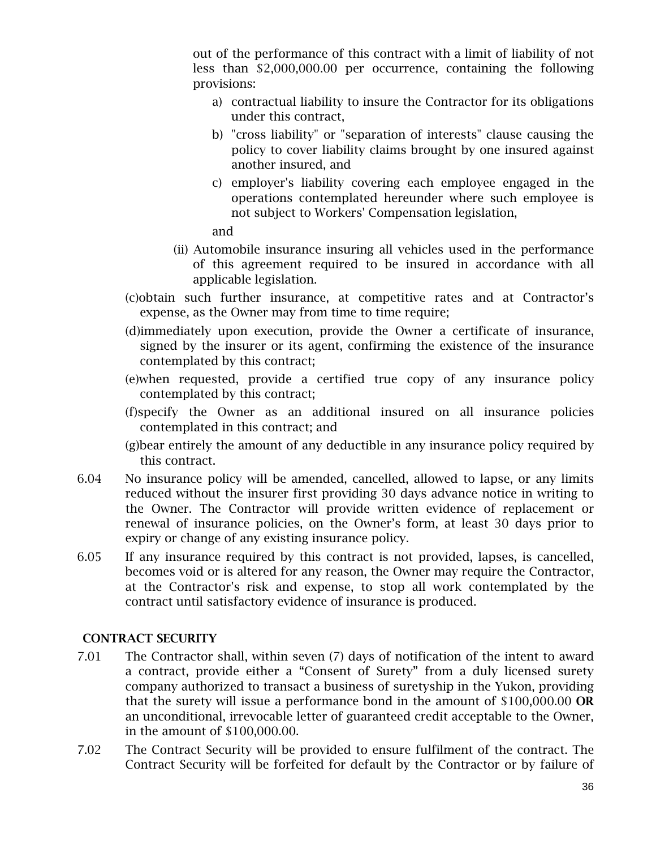out of the performance of this contract with a limit of liability of not less than \$2,000,000.00 per occurrence, containing the following provisions:

- a) contractual liability to insure the Contractor for its obligations under this contract,
- b) "cross liability" or "separation of interests" clause causing the policy to cover liability claims brought by one insured against another insured, and
- c) employer's liability covering each employee engaged in the operations contemplated hereunder where such employee is not subject to Workers' Compensation legislation,

and

- (ii) Automobile insurance insuring all vehicles used in the performance of this agreement required to be insured in accordance with all applicable legislation.
- (c)obtain such further insurance, at competitive rates and at Contractor's expense, as the Owner may from time to time require;
- (d)immediately upon execution, provide the Owner a certificate of insurance, signed by the insurer or its agent, confirming the existence of the insurance contemplated by this contract;
- (e)when requested, provide a certified true copy of any insurance policy contemplated by this contract;
- (f)specify the Owner as an additional insured on all insurance policies contemplated in this contract; and
- (g)bear entirely the amount of any deductible in any insurance policy required by this contract.
- 6.04 No insurance policy will be amended, cancelled, allowed to lapse, or any limits reduced without the insurer first providing 30 days advance notice in writing to the Owner. The Contractor will provide written evidence of replacement or renewal of insurance policies, on the Owner's form, at least 30 days prior to expiry or change of any existing insurance policy.
- 6.05 If any insurance required by this contract is not provided, lapses, is cancelled, becomes void or is altered for any reason, the Owner may require the Contractor, at the Contractor's risk and expense, to stop all work contemplated by the contract until satisfactory evidence of insurance is produced.

## CONTRACT SECURITY

- 7.01 The Contractor shall, within seven (7) days of notification of the intent to award a contract, provide either a "Consent of Surety" from a duly licensed surety company authorized to transact a business of suretyship in the Yukon, providing that the surety will issue a performance bond in the amount of \$100,000.00 OR an unconditional, irrevocable letter of guaranteed credit acceptable to the Owner, in the amount of \$100,000.00.
- 7.02 The Contract Security will be provided to ensure fulfilment of the contract. The Contract Security will be forfeited for default by the Contractor or by failure of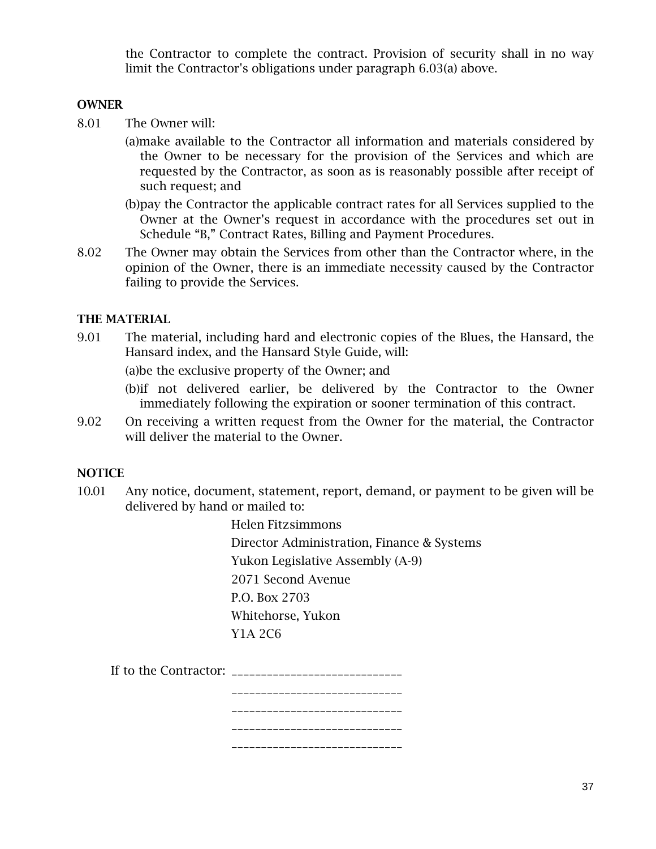the Contractor to complete the contract. Provision of security shall in no way limit the Contractor's obligations under paragraph 6.03(a) above.

#### **OWNER**

- 8.01 The Owner will:
	- (a)make available to the Contractor all information and materials considered by the Owner to be necessary for the provision of the Services and which are requested by the Contractor, as soon as is reasonably possible after receipt of such request; and
	- (b)pay the Contractor the applicable contract rates for all Services supplied to the Owner at the Owner's request in accordance with the procedures set out in Schedule "B," Contract Rates, Billing and Payment Procedures.
- 8.02 The Owner may obtain the Services from other than the Contractor where, in the opinion of the Owner, there is an immediate necessity caused by the Contractor failing to provide the Services.

#### THE MATERIAL

9.01 The material, including hard and electronic copies of the Blues, the Hansard, the Hansard index, and the Hansard Style Guide, will:

(a)be the exclusive property of the Owner; and

(b)if not delivered earlier, be delivered by the Contractor to the Owner immediately following the expiration or sooner termination of this contract.

9.02 On receiving a written request from the Owner for the material, the Contractor will deliver the material to the Owner.

#### **NOTICE**

 10.01 Any notice, document, statement, report, demand, or payment to be given will be delivered by hand or mailed to:

> Helen Fitzsimmons Director Administration, Finance & Systems Yukon Legislative Assembly (A-9) 2071 Second Avenue P.O. Box 2703 Whitehorse, Yukon Y1A 2C6

| If to the Contractor: ______________ |  |
|--------------------------------------|--|
|                                      |  |
|                                      |  |
|                                      |  |
|                                      |  |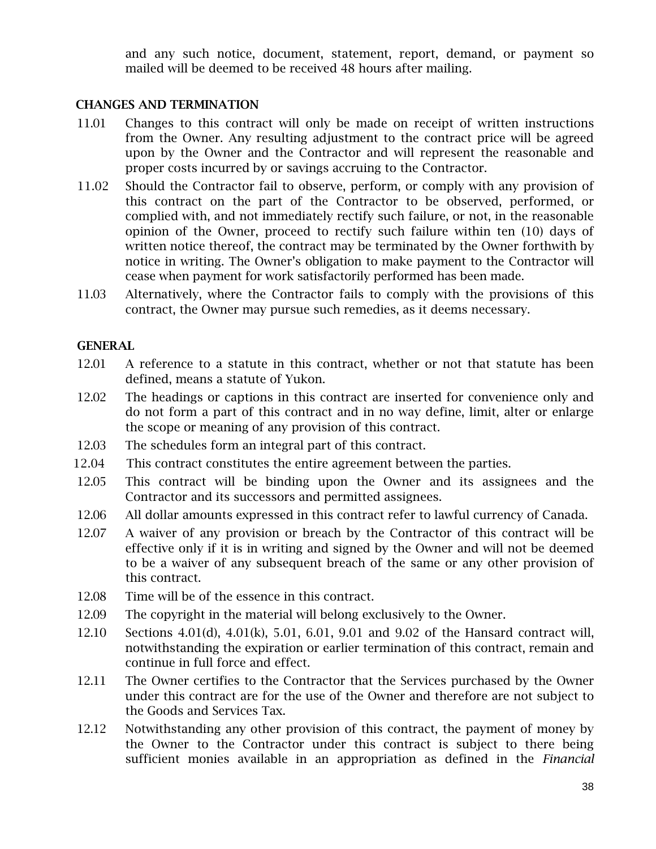and any such notice, document, statement, report, demand, or payment so mailed will be deemed to be received 48 hours after mailing.

#### CHANGES AND TERMINATION

- 11.01 Changes to this contract will only be made on receipt of written instructions from the Owner. Any resulting adjustment to the contract price will be agreed upon by the Owner and the Contractor and will represent the reasonable and proper costs incurred by or savings accruing to the Contractor.
- 11.02 Should the Contractor fail to observe, perform, or comply with any provision of this contract on the part of the Contractor to be observed, performed, or complied with, and not immediately rectify such failure, or not, in the reasonable opinion of the Owner, proceed to rectify such failure within ten (10) days of written notice thereof, the contract may be terminated by the Owner forthwith by notice in writing. The Owner's obligation to make payment to the Contractor will cease when payment for work satisfactorily performed has been made.
- 11.03 Alternatively, where the Contractor fails to comply with the provisions of this contract, the Owner may pursue such remedies, as it deems necessary.

# GENERAL

- 12.01 A reference to a statute in this contract, whether or not that statute has been defined, means a statute of Yukon.
- 12.02 The headings or captions in this contract are inserted for convenience only and do not form a part of this contract and in no way define, limit, alter or enlarge the scope or meaning of any provision of this contract.
- 12.03 The schedules form an integral part of this contract.
- 12.04 This contract constitutes the entire agreement between the parties.
- 12.05 This contract will be binding upon the Owner and its assignees and the Contractor and its successors and permitted assignees.
- 12.06 All dollar amounts expressed in this contract refer to lawful currency of Canada.
- 12.07 A waiver of any provision or breach by the Contractor of this contract will be effective only if it is in writing and signed by the Owner and will not be deemed to be a waiver of any subsequent breach of the same or any other provision of this contract.
- 12.08 Time will be of the essence in this contract.
- 12.09 The copyright in the material will belong exclusively to the Owner.
- 12.10 Sections 4.01(d), 4.01(k), 5.01, 6.01, 9.01 and 9.02 of the Hansard contract will, notwithstanding the expiration or earlier termination of this contract, remain and continue in full force and effect.
- 12.11 The Owner certifies to the Contractor that the Services purchased by the Owner under this contract are for the use of the Owner and therefore are not subject to the Goods and Services Tax.
- 12.12 Notwithstanding any other provision of this contract, the payment of money by the Owner to the Contractor under this contract is subject to there being sufficient monies available in an appropriation as defined in the *Financial*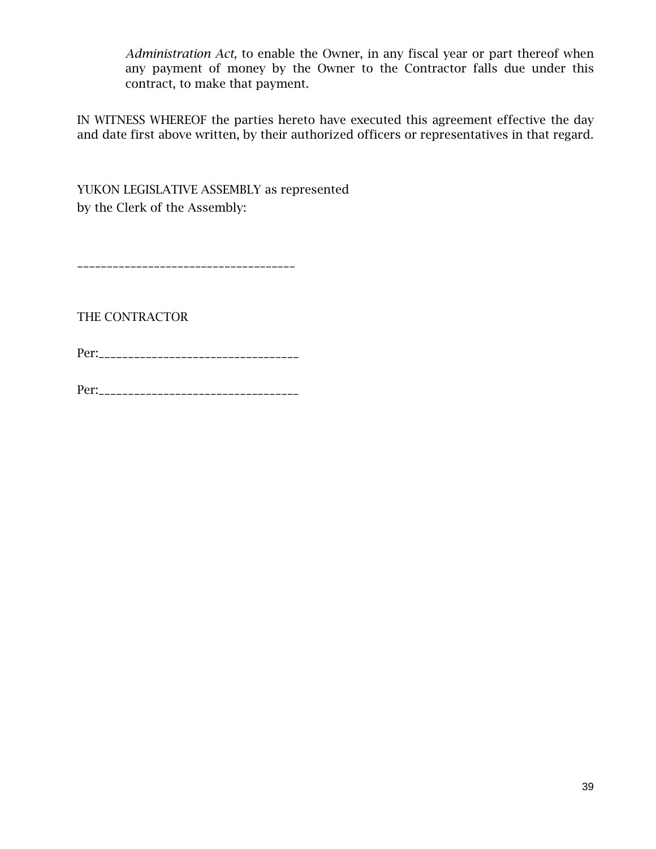*Administration Act,* to enable the Owner, in any fiscal year or part thereof when any payment of money by the Owner to the Contractor falls due under this contract, to make that payment.

IN WITNESS WHEREOF the parties hereto have executed this agreement effective the day and date first above written, by their authorized officers or representatives in that regard.

YUKON LEGISLATIVE ASSEMBLY as represented by the Clerk of the Assembly:

\_\_\_\_\_\_\_\_\_\_\_\_\_\_\_\_\_\_\_\_\_\_\_\_\_\_\_\_\_\_\_\_\_\_\_\_\_

THE CONTRACTOR

Per:\_\_\_\_\_\_\_\_\_\_\_\_\_\_\_\_\_\_\_\_\_\_\_\_\_\_\_\_\_\_\_\_\_\_

Per:\_\_\_\_\_\_\_\_\_\_\_\_\_\_\_\_\_\_\_\_\_\_\_\_\_\_\_\_\_\_\_\_\_\_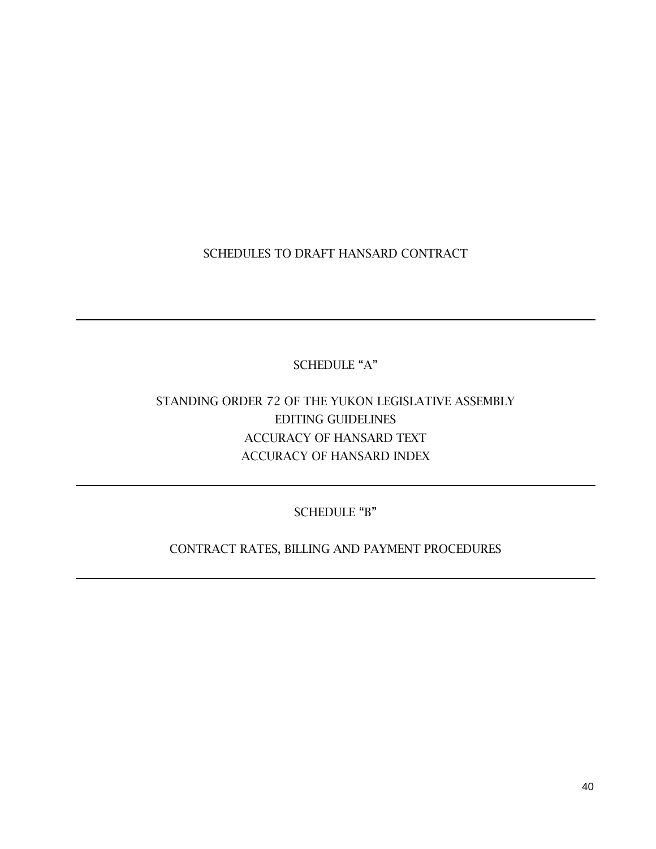SCHEDULES TO DRAFT HANSARD CONTRACT

SCHEDULE "A"

# STANDING ORDER 72 OF THE YUKON LEGISLATIVE ASSEMBLY EDITING GUIDELINES ACCURACY OF HANSARD TEXT ACCURACY OF HANSARD INDEX

SCHEDULE "B"

CONTRACT RATES, BILLING AND PAYMENT PROCEDURES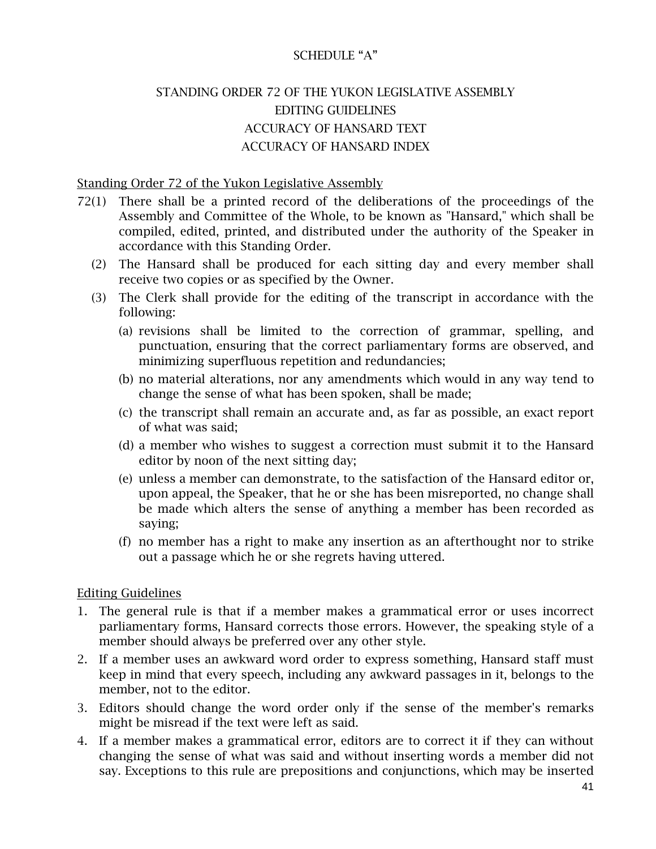# SCHEDULE "A"

# STANDING ORDER 72 OF THE YUKON LEGISLATIVE ASSEMBLY EDITING GUIDELINES ACCURACY OF HANSARD TEXT ACCURACY OF HANSARD INDEX

#### Standing Order 72 of the Yukon Legislative Assembly

- 72(1) There shall be a printed record of the deliberations of the proceedings of the Assembly and Committee of the Whole, to be known as "Hansard," which shall be compiled, edited, printed, and distributed under the authority of the Speaker in accordance with this Standing Order.
	- (2) The Hansard shall be produced for each sitting day and every member shall receive two copies or as specified by the Owner.
	- (3) The Clerk shall provide for the editing of the transcript in accordance with the following:
		- (a) revisions shall be limited to the correction of grammar, spelling, and punctuation, ensuring that the correct parliamentary forms are observed, and minimizing superfluous repetition and redundancies;
		- (b) no material alterations, nor any amendments which would in any way tend to change the sense of what has been spoken, shall be made;
		- (c) the transcript shall remain an accurate and, as far as possible, an exact report of what was said;
		- (d) a member who wishes to suggest a correction must submit it to the Hansard editor by noon of the next sitting day;
		- (e) unless a member can demonstrate, to the satisfaction of the Hansard editor or, upon appeal, the Speaker, that he or she has been misreported, no change shall be made which alters the sense of anything a member has been recorded as saying;
		- (f) no member has a right to make any insertion as an afterthought nor to strike out a passage which he or she regrets having uttered.

#### Editing Guidelines

- 1. The general rule is that if a member makes a grammatical error or uses incorrect parliamentary forms, Hansard corrects those errors. However, the speaking style of a member should always be preferred over any other style.
- 2. If a member uses an awkward word order to express something, Hansard staff must keep in mind that every speech, including any awkward passages in it, belongs to the member, not to the editor.
- 3. Editors should change the word order only if the sense of the member's remarks might be misread if the text were left as said.
- 4. If a member makes a grammatical error, editors are to correct it if they can without changing the sense of what was said and without inserting words a member did not say. Exceptions to this rule are prepositions and conjunctions, which may be inserted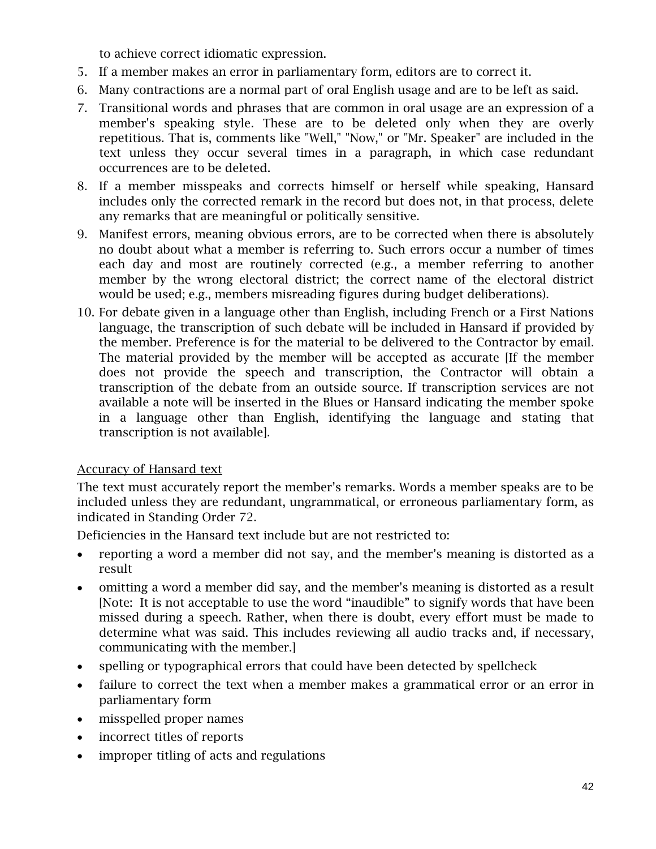to achieve correct idiomatic expression.

- 5. If a member makes an error in parliamentary form, editors are to correct it.
- 6. Many contractions are a normal part of oral English usage and are to be left as said.
- 7. Transitional words and phrases that are common in oral usage are an expression of a member's speaking style. These are to be deleted only when they are overly repetitious. That is, comments like "Well," "Now," or "Mr. Speaker" are included in the text unless they occur several times in a paragraph, in which case redundant occurrences are to be deleted.
- 8. If a member misspeaks and corrects himself or herself while speaking, Hansard includes only the corrected remark in the record but does not, in that process, delete any remarks that are meaningful or politically sensitive.
- 9. Manifest errors, meaning obvious errors, are to be corrected when there is absolutely no doubt about what a member is referring to. Such errors occur a number of times each day and most are routinely corrected (e.g., a member referring to another member by the wrong electoral district; the correct name of the electoral district would be used; e.g., members misreading figures during budget deliberations).
- 10. For debate given in a language other than English, including French or a First Nations language, the transcription of such debate will be included in Hansard if provided by the member. Preference is for the material to be delivered to the Contractor by email. The material provided by the member will be accepted as accurate [If the member does not provide the speech and transcription, the Contractor will obtain a transcription of the debate from an outside source. If transcription services are not available a note will be inserted in the Blues or Hansard indicating the member spoke in a language other than English, identifying the language and stating that transcription is not available].

#### Accuracy of Hansard text

The text must accurately report the member's remarks. Words a member speaks are to be included unless they are redundant, ungrammatical, or erroneous parliamentary form, as indicated in Standing Order 72.

Deficiencies in the Hansard text include but are not restricted to:

- reporting a word a member did not say, and the member's meaning is distorted as a result
- omitting a word a member did say, and the member's meaning is distorted as a result [Note: It is not acceptable to use the word "inaudible" to signify words that have been missed during a speech. Rather, when there is doubt, every effort must be made to determine what was said. This includes reviewing all audio tracks and, if necessary, communicating with the member.]
- spelling or typographical errors that could have been detected by spellcheck
- failure to correct the text when a member makes a grammatical error or an error in parliamentary form
- misspelled proper names
- incorrect titles of reports
- improper titling of acts and regulations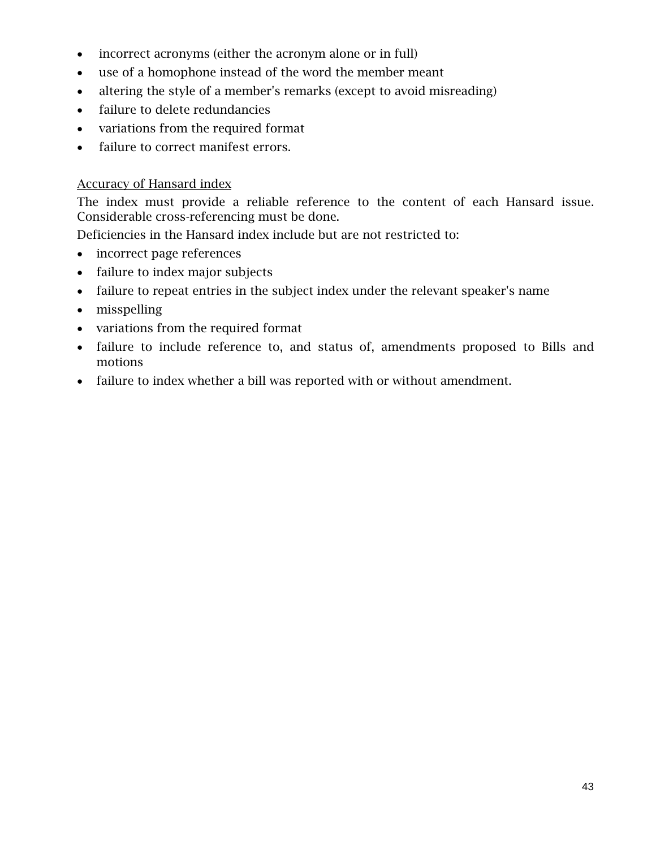- incorrect acronyms (either the acronym alone or in full)
- use of a homophone instead of the word the member meant
- altering the style of a member's remarks (except to avoid misreading)
- failure to delete redundancies
- variations from the required format
- failure to correct manifest errors.

# Accuracy of Hansard index

The index must provide a reliable reference to the content of each Hansard issue. Considerable cross-referencing must be done.

Deficiencies in the Hansard index include but are not restricted to:

- incorrect page references
- failure to index major subjects
- failure to repeat entries in the subject index under the relevant speaker's name
- misspelling
- variations from the required format
- failure to include reference to, and status of, amendments proposed to Bills and motions
- failure to index whether a bill was reported with or without amendment.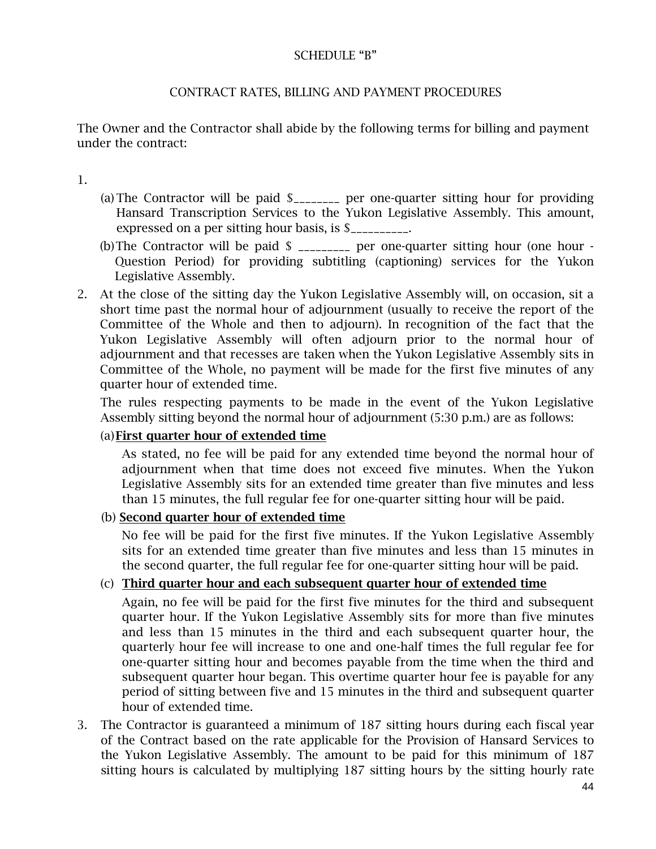## SCHEDULE "B"

# CONTRACT RATES, BILLING AND PAYMENT PROCEDURES

The Owner and the Contractor shall abide by the following terms for billing and payment under the contract:

1.

- (a) The Contractor will be paid \$\_\_\_\_\_\_\_\_ per one-quarter sitting hour for providing Hansard Transcription Services to the Yukon Legislative Assembly. This amount, expressed on a per sitting hour basis, is  $\S$
- (b)The Contractor will be paid \$ \_\_\_\_\_\_\_\_\_ per one-quarter sitting hour (one hour Question Period) for providing subtitling (captioning) services for the Yukon Legislative Assembly.
- 2. At the close of the sitting day the Yukon Legislative Assembly will, on occasion, sit a short time past the normal hour of adjournment (usually to receive the report of the Committee of the Whole and then to adjourn). In recognition of the fact that the Yukon Legislative Assembly will often adjourn prior to the normal hour of adjournment and that recesses are taken when the Yukon Legislative Assembly sits in Committee of the Whole, no payment will be made for the first five minutes of any quarter hour of extended time.

The rules respecting payments to be made in the event of the Yukon Legislative Assembly sitting beyond the normal hour of adjournment (5:30 p.m.) are as follows:

#### (a)First quarter hour of extended time

As stated, no fee will be paid for any extended time beyond the normal hour of adjournment when that time does not exceed five minutes. When the Yukon Legislative Assembly sits for an extended time greater than five minutes and less than 15 minutes, the full regular fee for one-quarter sitting hour will be paid.

#### (b) Second quarter hour of extended time

No fee will be paid for the first five minutes. If the Yukon Legislative Assembly sits for an extended time greater than five minutes and less than 15 minutes in the second quarter, the full regular fee for one-quarter sitting hour will be paid.

## (c) Third quarter hour and each subsequent quarter hour of extended time

Again, no fee will be paid for the first five minutes for the third and subsequent quarter hour. If the Yukon Legislative Assembly sits for more than five minutes and less than 15 minutes in the third and each subsequent quarter hour, the quarterly hour fee will increase to one and one-half times the full regular fee for one-quarter sitting hour and becomes payable from the time when the third and subsequent quarter hour began. This overtime quarter hour fee is payable for any period of sitting between five and 15 minutes in the third and subsequent quarter hour of extended time.

3. The Contractor is guaranteed a minimum of 187 sitting hours during each fiscal year of the Contract based on the rate applicable for the Provision of Hansard Services to the Yukon Legislative Assembly. The amount to be paid for this minimum of 187 sitting hours is calculated by multiplying 187 sitting hours by the sitting hourly rate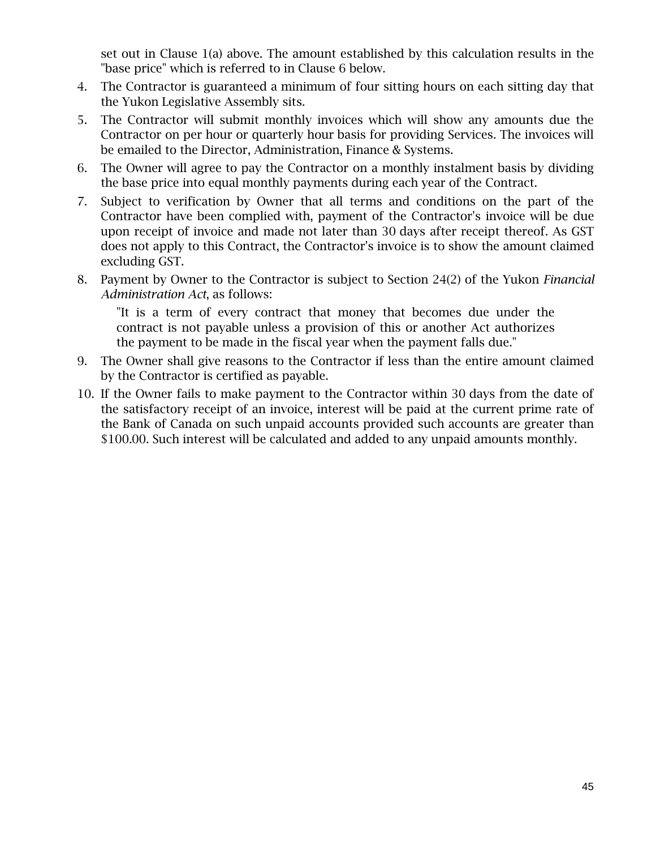set out in Clause 1(a) above. The amount established by this calculation results in the "base price" which is referred to in Clause 6 below.

- 4. The Contractor is guaranteed a minimum of four sitting hours on each sitting day that the Yukon Legislative Assembly sits.
- 5. The Contractor will submit monthly invoices which will show any amounts due the Contractor on per hour or quarterly hour basis for providing Services. The invoices will be emailed to the Director, Administration, Finance & Systems.
- 6. The Owner will agree to pay the Contractor on a monthly instalment basis by dividing the base price into equal monthly payments during each year of the Contract.
- 7. Subject to verification by Owner that all terms and conditions on the part of the Contractor have been complied with, payment of the Contractor's invoice will be due upon receipt of invoice and made not later than 30 days after receipt thereof. As GST does not apply to this Contract, the Contractor's invoice is to show the amount claimed excluding GST.
- 8. Payment by Owner to the Contractor is subject to Section 24(2) of the Yukon *Financial Administration Act*, as follows:

"It is a term of every contract that money that becomes due under the contract is not payable unless a provision of this or another Act authorizes the payment to be made in the fiscal year when the payment falls due."

- 9. The Owner shall give reasons to the Contractor if less than the entire amount claimed by the Contractor is certified as payable.
- 10. If the Owner fails to make payment to the Contractor within 30 days from the date of the satisfactory receipt of an invoice, interest will be paid at the current prime rate of the Bank of Canada on such unpaid accounts provided such accounts are greater than \$100.00. Such interest will be calculated and added to any unpaid amounts monthly.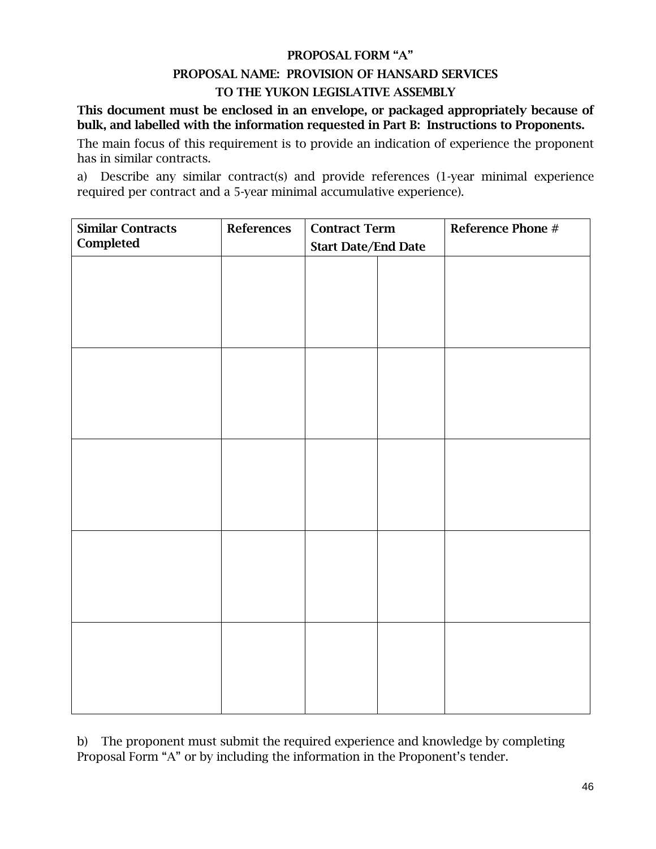# PROPOSAL FORM "A" PROPOSAL NAME: PROVISION OF HANSARD SERVICES TO THE YUKON LEGISLATIVE ASSEMBLY

This document must be enclosed in an envelope, or packaged appropriately because of bulk, and labelled with the information requested in Part B: Instructions to Proponents.

The main focus of this requirement is to provide an indication of experience the proponent has in similar contracts.

a) Describe any similar contract(s) and provide references (1-year minimal experience required per contract and a 5-year minimal accumulative experience).

| <b>Similar Contracts</b> | References | <b>Contract Term</b>       | Reference Phone # |
|--------------------------|------------|----------------------------|-------------------|
| Completed                |            | <b>Start Date/End Date</b> |                   |
|                          |            |                            |                   |
|                          |            |                            |                   |
|                          |            |                            |                   |
|                          |            |                            |                   |
|                          |            |                            |                   |
|                          |            |                            |                   |
|                          |            |                            |                   |
|                          |            |                            |                   |
|                          |            |                            |                   |
|                          |            |                            |                   |
|                          |            |                            |                   |
|                          |            |                            |                   |
|                          |            |                            |                   |
|                          |            |                            |                   |
|                          |            |                            |                   |
|                          |            |                            |                   |
|                          |            |                            |                   |
|                          |            |                            |                   |
|                          |            |                            |                   |
|                          |            |                            |                   |
|                          |            |                            |                   |
|                          |            |                            |                   |
|                          |            |                            |                   |

b) The proponent must submit the required experience and knowledge by completing Proposal Form "A" or by including the information in the Proponent's tender.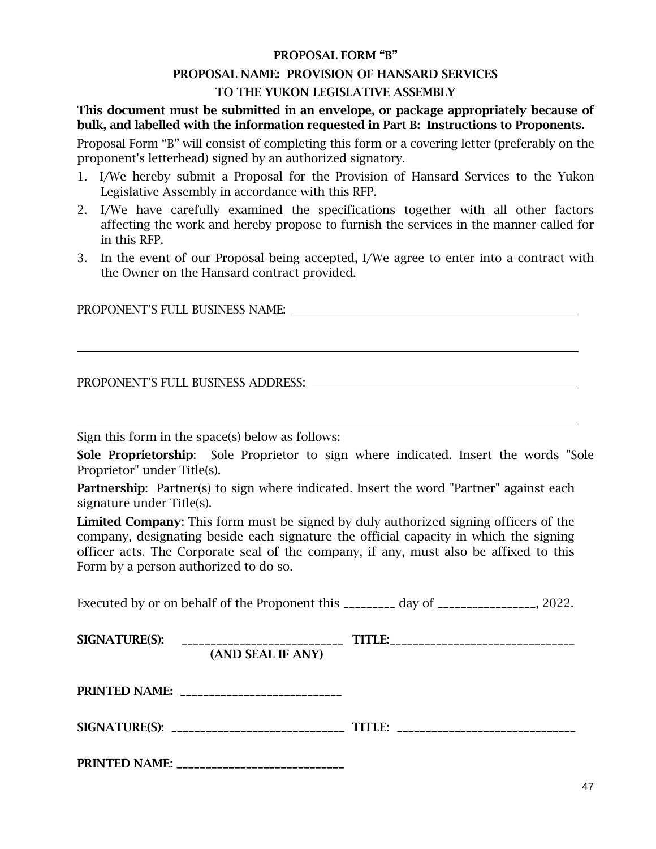# PROPOSAL FORM "B" PROPOSAL NAME: PROVISION OF HANSARD SERVICES TO THE YUKON LEGISLATIVE ASSEMBLY

This document must be submitted in an envelope, or package appropriately because of bulk, and labelled with the information requested in Part B: Instructions to Proponents.

Proposal Form "B" will consist of completing this form or a covering letter (preferably on the proponent's letterhead) signed by an authorized signatory.

- 1. I/We hereby submit a Proposal for the Provision of Hansard Services to the Yukon Legislative Assembly in accordance with this RFP.
- 2. I/We have carefully examined the specifications together with all other factors affecting the work and hereby propose to furnish the services in the manner called for in this RFP.
- 3. In the event of our Proposal being accepted, I/We agree to enter into a contract with the Owner on the Hansard contract provided.

PROPONENT'S FULL BUSINESS NAME:

PROPONENT'S FULL BUSINESS ADDRESS:

Sign this form in the space(s) below as follows:

Sole Proprietorship: Sole Proprietor to sign where indicated. Insert the words "Sole Proprietor" under Title(s).

**Partnership:** Partner(s) to sign where indicated. Insert the word "Partner" against each signature under Title(s).

Limited Company: This form must be signed by duly authorized signing officers of the company, designating beside each signature the official capacity in which the signing officer acts. The Corporate seal of the company, if any, must also be affixed to this Form by a person authorized to do so.

Executed by or on behalf of the Proponent this \_\_\_\_\_\_\_\_\_ day of \_\_\_\_\_\_\_\_\_\_\_\_\_\_\_. 2022.

| SIGNATURE(S): | _______________________________<br>(AND SEAL IF ANY) | TITLE:__________________________________ |
|---------------|------------------------------------------------------|------------------------------------------|
|               | PRINTED NAME: ___________________________            |                                          |
|               |                                                      | TITLE: _________________________________ |
| PRINTED NAME: | _________________________________                    |                                          |

47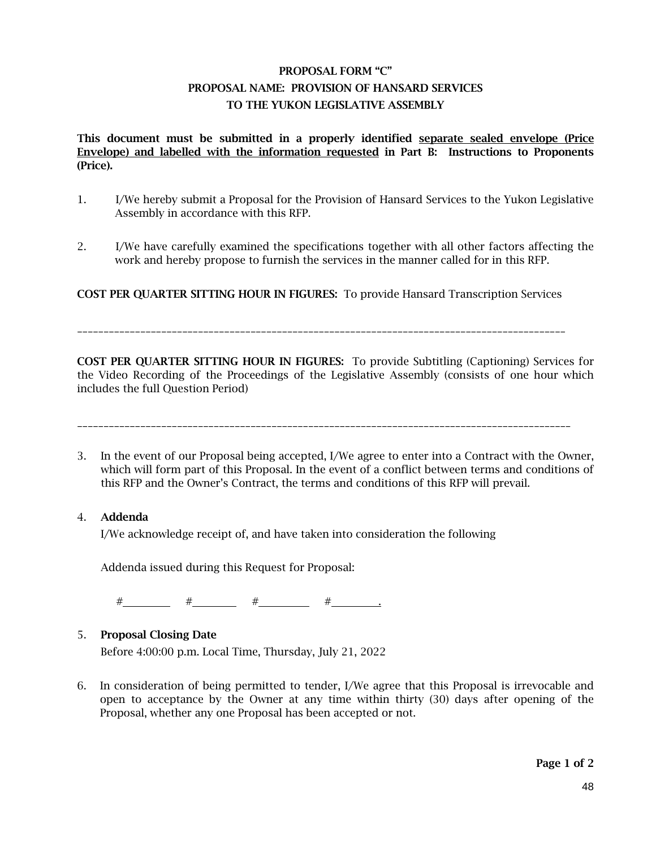## PROPOSAL FORM "C" PROPOSAL NAME: PROVISION OF HANSARD SERVICES TO THE YUKON LEGISLATIVE ASSEMBLY

This document must be submitted in a properly identified separate sealed envelope (Price Envelope) and labelled with the information requested in Part B: Instructions to Proponents (Price).

- 1. I/We hereby submit a Proposal for the Provision of Hansard Services to the Yukon Legislative Assembly in accordance with this RFP.
- 2. I/We have carefully examined the specifications together with all other factors affecting the work and hereby propose to furnish the services in the manner called for in this RFP.

COST PER QUARTER SITTING HOUR IN FIGURES: To provide Hansard Transcription Services

\_\_\_\_\_\_\_\_\_\_\_\_\_\_\_\_\_\_\_\_\_\_\_\_\_\_\_\_\_\_\_\_\_\_\_\_\_\_\_\_\_\_\_\_\_\_\_\_\_\_\_\_\_\_\_\_\_\_\_\_\_\_\_\_\_\_\_\_\_\_\_\_\_\_\_\_\_\_\_\_\_\_\_\_\_\_\_\_\_\_\_\_\_

COST PER QUARTER SITTING HOUR IN FIGURES: To provide Subtitling (Captioning) Services for the Video Recording of the Proceedings of the Legislative Assembly (consists of one hour which includes the full Question Period)

\_\_\_\_\_\_\_\_\_\_\_\_\_\_\_\_\_\_\_\_\_\_\_\_\_\_\_\_\_\_\_\_\_\_\_\_\_\_\_\_\_\_\_\_\_\_\_\_\_\_\_\_\_\_\_\_\_\_\_\_\_\_\_\_\_\_\_\_\_\_\_\_\_\_\_\_\_\_\_\_\_\_\_\_\_\_\_\_\_\_\_\_\_\_

3. In the event of our Proposal being accepted, I/We agree to enter into a Contract with the Owner, which will form part of this Proposal. In the event of a conflict between terms and conditions of this RFP and the Owner's Contract, the terms and conditions of this RFP will prevail.

#### 4. Addenda

I/We acknowledge receipt of, and have taken into consideration the following

Addenda issued during this Request for Proposal:

# # # # .

#### 5. Proposal Closing Date

Before 4:00:00 p.m. Local Time, Thursday, July 21, 2022

6. In consideration of being permitted to tender, I/We agree that this Proposal is irrevocable and open to acceptance by the Owner at any time within thirty (30) days after opening of the Proposal, whether any one Proposal has been accepted or not.